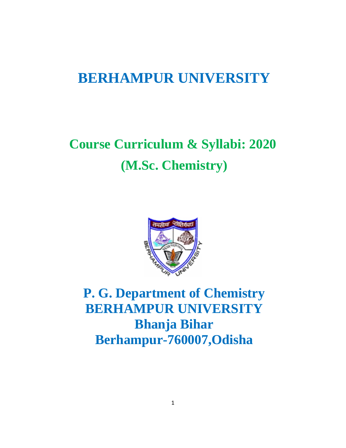# **BERHAMPUR UNIVERSITY**

# **Course Curriculum & Syllabi: 2020 (M.Sc. Chemistry)**



**P. G. Department of Chemistry BERHAMPUR UNIVERSITY Bhanja Bihar Berhampur-760007,Odisha**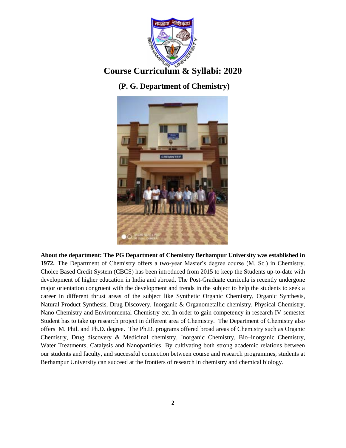

## **Course Curriculum & Syllabi: 2020**

### **(P. G. Department of Chemistry)**



**About the department: The PG Department of Chemistry Berhampur University was established in 1972.** The Department of Chemistry offers a two-year Master's degree course (M. Sc.) in Chemistry. Choice Based Credit System (CBCS) has been introduced from 2015 to keep the Students up-to-date with development of higher education in India and abroad. The Post-Graduate curricula is recently undergone major orientation congruent with the development and trends in the subject to help the students to seek a career in different thrust areas of the subject like Synthetic Organic Chemistry, Organic Synthesis, Natural Product Synthesis, Drug Discovery, Inorganic & Organometallic chemistry, Physical Chemistry, Nano-Chemistry and Environmental Chemistry etc. In order to gain competency in research IV-semester Student has to take up research project in different area of Chemistry. The Department of Chemistry also offers M. Phil. and Ph.D. degree. The Ph.D. programs offered broad areas of Chemistry such as Organic Chemistry, Drug discovery & Medicinal chemistry, Inorganic Chemistry, Bio–inorganic Chemistry, Water Treatments, Catalysis and Nanoparticles. By cultivating both strong academic relations between our students and faculty, and successful connection between course and research programmes, students at Berhampur University can succeed at the frontiers of research in chemistry and chemical biology.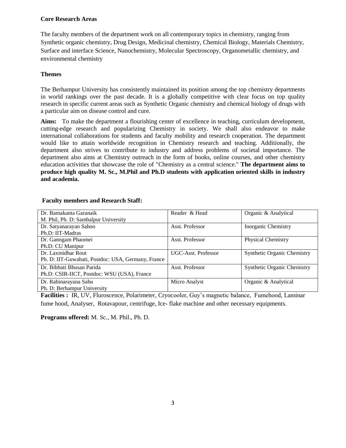### **Core Research Areas**

The faculty members of the department work on all contemporary topics in chemistry, ranging from Synthetic organic chemistry, Drug Design, Medicinal chemistry, Chemical Biology, Materials Chemistry, Surface and interface Science, Nanochemistry, Molecular Spectroscopy, Organometallic chemistry, and environmental chemistry

### **Themes**

The Berhampur University has consistently maintained its position among the top chemistry departments in world rankings over the past decade. It is a globally competitive with clear focus on top quality research in specific current areas such as Synthetic Organic chemistry and chemical biology of drugs with a particular aim on disease control and cure.

**Aims:** To make the department a flourishing center of excellence in teaching, curriculum development, cutting-edge research and popularizing Chemistry in society. We shall also endeavor to make international collaborations for students and faculty mobility and research cooperation. The department would like to attain worldwide recognition in Chemistry research and teaching. Additionally, the department also strives to contribute to industry and address problems of societal importance. The department also aims at Chemistry outreach in the form of books, online courses, and other chemistry education activities that showcase the role of "Chemistry as a central science." **The department aims to produce high quality M. Sc., M.Phil and Ph.D students with application oriented skills in industry and academia.**

| Dr. Bamakanta Garanaik                             | Reader & Head       | Organic & Analytical               |
|----------------------------------------------------|---------------------|------------------------------------|
| M. Phil, Ph. D: Sambalpur University               |                     |                                    |
| Dr. Satyanarayan Sahoo                             | Asst. Professor     | Inorganic Chemistry                |
| Ph.D: IIT-Madras                                   |                     |                                    |
| Dr. Ganngam Phaomei                                | Asst. Professor     | <b>Physical Chemistry</b>          |
| Ph.D: CU Manipur                                   |                     |                                    |
| Dr. Laxmidhar Rout                                 | UGC-Asst. Professor | <b>Synthetic Organic Chemistry</b> |
| Ph. D: IIT-Guwahati, Postdoc: USA, Germany, France |                     |                                    |
| Dr. Bibhuti Bhusan Parida                          | Asst. Professor     | <b>Synthetic Organic Chemistry</b> |
| Ph.D: CSIR-IICT, Postdoc: WSU (USA), France        |                     |                                    |
| Dr. Rabinarayana Sahu                              | Micro Analyst       | Organic & Analytical               |
| Ph. D: Berhampur University                        |                     |                                    |

### **Faculty members and Research Staff:**

**Facilities :** IR, UV, Fluroscence, Polarimeter, Cryocooler, Guy's magnetic balance, Fumehood, Laminar fume hood, Analyser, Rotavapour, centrifuge, Ice- flake machine and other necessary equipments.

**Programs offered:** M. Sc., M. Phil., Ph. D.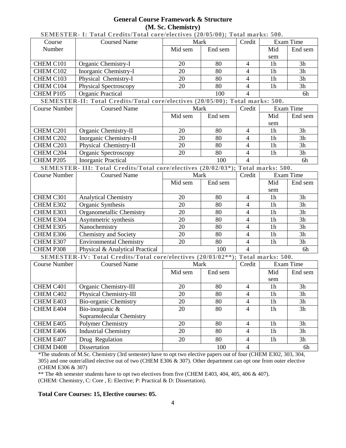### **General Course Framework & Structure (M. Sc. Chemistry)**

| SEMESTER- I: Total Credits/Total core/electives (20/05/00); Total marks: 500. |                                                                                  |         |         |                |                |           |
|-------------------------------------------------------------------------------|----------------------------------------------------------------------------------|---------|---------|----------------|----------------|-----------|
| Course                                                                        | <b>Coursed Name</b>                                                              | Mark    |         | Credit         |                | Exam Time |
| Number                                                                        |                                                                                  | Mid sem | End sem |                | Mid            | End sem   |
|                                                                               |                                                                                  |         |         |                | sem            |           |
| CHEM C101                                                                     | Organic Chemistry-I                                                              | 20      | 80      | $\overline{4}$ | 1 <sub>h</sub> | 3h        |
| CHEM C102                                                                     | Inorganic Chemistry-I                                                            | 20      | 80      | 4              | 1 <sub>h</sub> | 3h        |
| CHEM C103                                                                     | Physical Chemistry-I                                                             | 20      | 80      | $\overline{4}$ | 1 <sub>h</sub> | 3h        |
| CHEM C104                                                                     | <b>Physical Spectroscopy</b>                                                     | 20      | 80      | $\overline{4}$ | 1 <sub>h</sub> | 3h        |
| CHEM P105                                                                     | <b>Organic Practical</b>                                                         |         | 100     | $\overline{4}$ |                | 6h        |
|                                                                               | SEMESTER-II: Total Credits/Total core/electives (20/05/00); Total marks: 500.    |         |         |                |                |           |
| <b>Course Number</b>                                                          | <b>Coursed Name</b>                                                              | Mark    |         | Credit         |                | Exam Time |
|                                                                               |                                                                                  | Mid sem | End sem |                | Mid            | End sem   |
|                                                                               |                                                                                  |         |         |                | sem            |           |
| CHEM C201                                                                     | Organic Chemistry-II                                                             | 20      | 80      | $\overline{4}$ | 1 <sub>h</sub> | 3h        |
| CHEM C202                                                                     | Inorganic Chemistry-II                                                           | 20      | 80      | $\overline{4}$ | 1 <sub>h</sub> | 3h        |
| CHEM C203                                                                     | Physical Chemistry-II                                                            | 20      | 80      | $\overline{4}$ | 1 <sub>h</sub> | 3h        |
| CHEM C204                                                                     | Organic Spectroscopy                                                             | 20      | 80      | 4              | 1 <sub>h</sub> | 3h        |
| CHEM P205                                                                     | <b>Inorganic Practical</b>                                                       |         | 100     | $\overline{4}$ |                | 6h        |
|                                                                               | SEMESTER- III: Total Credits/Total core/electives (20/02/03*); Total marks: 500. |         |         |                |                |           |
| <b>Course Number</b>                                                          | <b>Coursed Name</b>                                                              | Mark    |         | Credit         |                | Exam Time |
|                                                                               |                                                                                  | Mid sem | End sem |                | Mid            | End sem   |
|                                                                               |                                                                                  |         |         |                | sem            |           |
| CHEM C301                                                                     | <b>Analytical Chemistry</b>                                                      | 20      | 80      | $\overline{4}$ | 1 <sub>h</sub> | 3h        |
| CHEM E302                                                                     | Organic Synthesis                                                                | 20      | 80      | $\overline{4}$ | 1 <sub>h</sub> | 3h        |
| CHEM E303                                                                     | Organometallic Chemistry                                                         | 20      | 80      | $\overline{4}$ | 1 <sub>h</sub> | 3h        |
| CHEM E304                                                                     | Asymmetric synthesis                                                             | 20      | 80      | $\overline{4}$ | 1 <sub>h</sub> | 3h        |
| CHEM E305                                                                     | Nanochemistry                                                                    | 20      | 80      | 4              | 1 <sub>h</sub> | 3h        |
| CHEM E306                                                                     | Chemistry and Society                                                            | 20      | 80      | $\overline{4}$ | 1 <sub>h</sub> | 3h        |
| CHEM E307                                                                     | <b>Environmental Chemistry</b>                                                   | 20      | 80      | $\overline{4}$ | 1 <sub>h</sub> | 3h        |
| CHEM P308                                                                     | Physical & Analytical Practical                                                  |         | 100     | $\overline{4}$ |                | 6h        |
|                                                                               | SEMESTER-IV: Total Credits/Total core/electives (20/03/02**); Total marks: 500.  |         |         |                |                |           |
| <b>Course Number</b>                                                          | <b>Coursed Name</b>                                                              | Mark    |         | Credit         |                | Exam Time |
|                                                                               |                                                                                  | Mid sem | End sem |                | Mid            | End sem   |
|                                                                               |                                                                                  |         |         |                | sem            |           |
| CHEM C401                                                                     | Organic Chemistry-III                                                            | 20      | 80      | $\overline{4}$ | $1\mathrm{h}$  | 3h        |
| CHEM C402                                                                     | Physical Chemistry-III                                                           | 20      | 80      | $\overline{4}$ | 1 <sub>h</sub> | 3h        |
| CHEM E403                                                                     | <b>Bio-organic Chemistry</b>                                                     | 20      | 80      | $\overline{4}$ | 1 <sub>h</sub> | 3h        |
| CHEM E404                                                                     | Bio-inorganic $\overline{\&}$                                                    | 20      | 80      | $\overline{4}$ | 1 <sub>h</sub> | 3h        |
|                                                                               | Supramolecular Chemistry                                                         |         |         |                |                |           |
| CHEM E405                                                                     | Polymer Chemistry                                                                | 20      | 80      | $\overline{4}$ | 1 <sub>h</sub> | 3h        |
| CHEM E406                                                                     | <b>Industrial Chemistry</b>                                                      | 20      | 80      | $\overline{4}$ | 1 <sub>h</sub> | 3h        |
| CHEM E407                                                                     | Drug Regulation                                                                  | 20      | 80      | $\overline{4}$ | 1 <sub>h</sub> | 3h        |
| CHEM D408                                                                     | Dissertation                                                                     |         | 100     | $\overline{4}$ |                | 6h        |
|                                                                               |                                                                                  |         |         |                |                |           |

\*The students of M.Sc. Chemistry (3rd semester) have to opt two elective papers out of four (CHEM E302, 303, 304, 305) and one outer/allied elective out of two (CHEM E306 & 307). Other department can opt one from outer elective (CHEM E306 & 307)

\*\* The 4th semester students have to opt two electives from five (CHEM E403, 404, 405, 406 & 407).

(CHEM: Chemistry, C: Core , E: Elective; P: Practical & D: Dissertation).

**Total Core Courses: 15, Elective courses: 05.**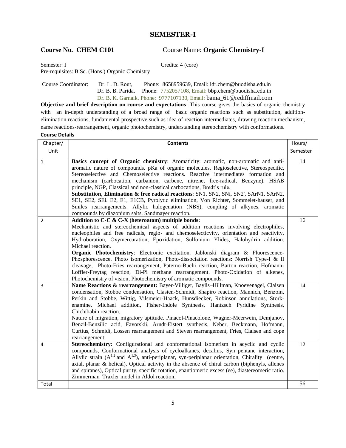### **SEMESTER-I**

**Course No. CHEM C101** Course Name: **Organic Chemistry-I** 

Semester: I Credits: 4 (core)

Pre-requisites: B.Sc. (Hons.) Organic Chemistry

 Course Coordinator: Dr. L. D. Rout, Phone: 8658959639, Email: ldr.chem@buodisha.edu.in Dr. B. B. Parida, Phone: 7752057108, Email: bbp.chem@buodisha.edu.in Dr. B. K. Garnaik, Phone: 9777107130, Email: [bama\\_61@rediffmail.com](mailto:garnaikbamakanta@gmail.com)

**Objective and brief description on course and expectations**: This course gives the basics of organic chemistry with an in-depth understanding of a broad range of basic organic reactions such as substitution, additionelimination reactions, fundamental prospective such as idea of reaction intermediates, drawing reaction mechanism, name reactions-rearrangement, organic photochemistry, understanding stereochemistry with conformations.

| Chapter/       | <b>Contents</b>                                                                                                                                                                                                                                                                                                                                                                                                                                                                                                                                                                                                                                                                                                                                                                       | Hours/   |
|----------------|---------------------------------------------------------------------------------------------------------------------------------------------------------------------------------------------------------------------------------------------------------------------------------------------------------------------------------------------------------------------------------------------------------------------------------------------------------------------------------------------------------------------------------------------------------------------------------------------------------------------------------------------------------------------------------------------------------------------------------------------------------------------------------------|----------|
| Unit           |                                                                                                                                                                                                                                                                                                                                                                                                                                                                                                                                                                                                                                                                                                                                                                                       | Semester |
| $\mathbf 1$    | Basics concept of Organic chemistry: Aromaticity: aromatic, non-aromatic and anti-<br>aromatic nature of compounds. pKa of organic molecules, Regioselective, Stereospecific,<br>Stereoselective and Chemoselective reactions. Reactive intermediates formation and<br>mechanism (carbocation, carbanion, carbene, nitrene, free-radical, Benzyne). HSAB<br>principle, NGP, Classical and non-classical carbocations, Bredt's rule.<br>Substitution, Elimination & free radical reactions: SN1, SN2, SNi, SN2', SArN1, SArN2,<br>SE1, SE2, SEi. E2, E1, E1CB, Pyrolytic elimination, Von Richter, Sommelet-hauser, and<br>Smiles rearrangements. Allylic halogenation (NBS), coupling of alkynes, aromatic<br>compounds by diazonium salts, Sandmayer reaction.                       | 14       |
| $\overline{2}$ | Addition to C-C & C-X (heteroatom) multiple bonds:<br>Mechanistic and stereochemical aspects of addition reactions involving electrophiles,<br>nucleophiles and free radicals, regio- and chemoselecticvity, orientation and reactivity.<br>Hydroboration, Oxymercuration, Epoxidation, Sulfonium Ylides, Halohydrin addition.<br>Michael reaction.<br>Organic Photochemistry: Electronic excitation, Jablonski diagram & Fluorescence-<br>Phosphorescence. Photo isomerization, Photo-dissociation reactions: Norrish Type-I & II<br>cleavage, Photo-Fries rearrangement, Paterno-Buchi reaction, Barton reaction, Hofmann-<br>Loffler-Freytag reaction, Di-Pi methane rearrangement. Photo-Oxidation of alkenes,<br>Photochemistry of vision, Photochemistry of aromatic compounds. | 16       |
| 3              | Name Reactions & rearrangement: Bayer-Villiger, Baylis-Hillman, Knoevenagel, Claisen<br>condensation, Stobbe condensation, Clasien-Schmidt, Shapiro reaction, Mannich, Benzoin,<br>Perkin and Stobbe, Wittig, Vilsmeier-Haack, Hunsdiecker, Robinson annulations, Stork-<br>enamine, Michael addition, Fisher-Indole Synthesis, Hantzsch Pyridine Synthesis,<br>Chichibabin reaction.<br>Nature of migration, migratory aptitude. Pinacol-Pinacolone, Wagner-Meerwein, Demjanov,<br>Benzil-Benzilic acid, Favorskii, Arndt-Eistert synthesis, Neber, Beckmann, Hofmann,<br>Curtius, Schmidt, Lossen rearrangement and Steven rearrangement, Fries, Claisen and cope<br>rearrangement.                                                                                                 | 14       |
| 4              | Stereochemistry: Configurational and conformational isomerism in acyclic and cyclic<br>compounds, Conformational analysis of cycloalkanes, decalins, Syn pentane interaction,<br>Allylic strain $(A^{1,2}$ and $A^{1,3}$ ), anti-periplanar, syn-periplanar orientation, Chirality (centre,<br>axial, planar & helical), Optical activity in the absence of chiral carbon (biphenyls, allenes<br>and spiranes), Optical purity, specific rotation, enantiomeric excess (ee), diastereomeric ratio.<br>Zimmerman-Traxler model in Aldol reaction.                                                                                                                                                                                                                                      | 12       |
| Total          |                                                                                                                                                                                                                                                                                                                                                                                                                                                                                                                                                                                                                                                                                                                                                                                       | 56       |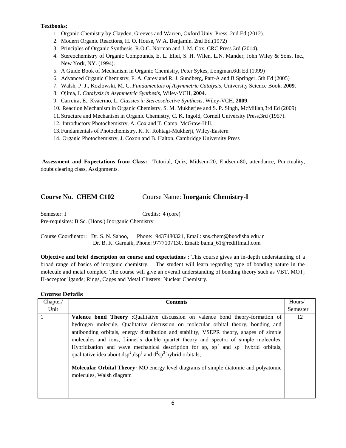- 1. Organic Chemistry by Clayden, Greeves and Warren, Oxford Univ. Press, 2nd Ed (2012).
- 2. Modern Organic Reactions, H. O. House, W.A. Benjamin. 2nd Ed.(1972)
- 3. Principles of Organic Synthesis, R.O.C. Norman and J. M. Cox, CRC Press 3rd (2014).
- 4. Stereochemistry of Organic Compounds, E. L. Eliel, S. H. Wilen, L.N. Mander, John Wiley & Sons, Inc., New York, NY. (1994).
- 5. A Guide Book of Mechanism in Organic Chemistry, Peter Sykes, Longman.6th Ed.(1999)
- 6. Advanced Organic Chemistry, F. A. Carey and R. J. Sundberg, Part-A and B Springer, 5th Ed (2005)
- 7. Walsh, P. J., Kozlowski, M. C. *Fundamentals of Asymmetric Catalysis*, University Science Book, **2009**.
- 8. Ojima, I. *Catalysis in Asymmetric Synthesis*, Wiley-VCH, **2004**.
- 9. Carreira, E., Kvaermo, L. *Classics in Stereoselective Synthesis*, Wiley-VCH, **2009**.
- 10. Reaction Mechanism in Organic Chemistry, S. M. Mukherjee and S. P. Singh, McMillan,3rd Ed (2009)
- 11.Structure and Mechanism in Organic Chemistry, C. K. Ingold, Cornell University Press,3rd (1957).
- 12. Introductory Photochemistry, A. Cox and T. Camp. McGraw-Hill.
- 13.Fundamentals of Photochemistry, K. K. Rohtagi-Mukherji, Wilcy-Eastern
- 14. Organic Photochemistry, J. Coxon and B. Halton, Cambridge University Press

 **Assessment and Expectations from Class:** Tutorial, Quiz, Midsem-20, Endsem-80, attendance, Punctuality, doubt clearing class, Assignments.

### **Course No. CHEM C102** Course Name: **Inorganic Chemistry-I**

Semester: I Credits: 4 (core)

Pre-requisites: B.Sc. (Hons.) Inorganic Chemistry

Course Coordinator: Dr. S. N. Sahoo, Phone: 9437480321, Email: sns.chem@buodisha.edu.in Dr. B. K. Garnaik, Phone: 9777107130, Email[: bama\\_61@rediffmail.com](mailto:garnaikbamakanta@gmail.com) 

**Objective and brief description on course and expectations** : This course gives an in-depth understanding of a broad range of basics of inorganic chemistry. The student will learn regarding type of bonding nature in the molecule and metal complex. The course will give an overall understanding of bonding theory such as VBT, MOT; Π*-*acceptor ligands; Rings, Cages and Metal Clusters; Nuclear Chemistry.

| Chapter/ | <b>Contents</b>                                                                                                                                                                                                                                                                                                                                                                                                                                                                                                                                                                                                                                        | Hours/   |
|----------|--------------------------------------------------------------------------------------------------------------------------------------------------------------------------------------------------------------------------------------------------------------------------------------------------------------------------------------------------------------------------------------------------------------------------------------------------------------------------------------------------------------------------------------------------------------------------------------------------------------------------------------------------------|----------|
| Unit     |                                                                                                                                                                                                                                                                                                                                                                                                                                                                                                                                                                                                                                                        | Semester |
|          | <b>Valence bond Theory</b> :Qualitative discussion on valence bond theory-formation of<br>hydrogen molecule, Qualitative discussion on molecular orbital theory, bonding and<br>antibonding orbitals, energy distribution and stability, VSEPR theory, shapes of simple<br>molecules and ions, Linnet's double quartet theory and spectra of simple molecules.<br>Hybridization and wave mechanical description for sp, $sp^2$ and $sp^3$ hybrid orbitals,<br>qualitative idea about $dsp^2, dsp^3$ and $d^2sp^3$ hybrid orbitals,<br>Molecular Orbital Theory: MO energy level diagrams of simple diatomic and polyatomic<br>molecules, Walsh diagram | 12       |
|          |                                                                                                                                                                                                                                                                                                                                                                                                                                                                                                                                                                                                                                                        |          |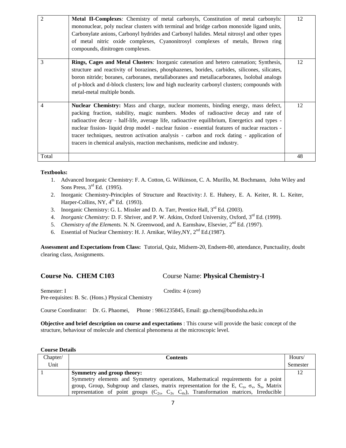| $\overline{2}$ | <b>Metal II-Complexes:</b> Chemistry of metal carbonyls, Constitution of metal carbonyls:<br>mononuclear, poly nuclear clusters with terminal and bridge carbon monoxide ligand units,<br>Carbonylate anions, Carbonyl hydrides and Carbonyl halides. Metal nitrosyl and other types<br>of metal nitric oxide complexes, Cyanonitrosyl complexes of metals, Brown ring<br>compounds, dinitrogen complexes.                                                                                                                                         | 12 |
|----------------|----------------------------------------------------------------------------------------------------------------------------------------------------------------------------------------------------------------------------------------------------------------------------------------------------------------------------------------------------------------------------------------------------------------------------------------------------------------------------------------------------------------------------------------------------|----|
| 3              | Rings, Cages and Metal Clusters: Inorganic catenation and hetero catenation; Synthesis,<br>structure and reactivity of borazines, phosphazenes, borides, carbides, silicones, silicates,<br>boron nitride; boranes, carboranes, metallaboranes and metallacarboranes, Isolobal analogs<br>of p-block and d-block clusters; low and high nuclearity carbonyl clusters; compounds with<br>metal-metal multiple bonds.                                                                                                                                | 12 |
| $\overline{4}$ | Nuclear Chemistry: Mass and charge, nuclear moments, binding energy, mass defect,<br>packing fraction, stability, magic numbers. Modes of radioactive decay and rate of<br>radioactive decay - half-life, average life, radioactive equilibrium, Energetics and types -<br>nuclear fission- liquid drop model - nuclear fusion - essential features of nuclear reactors -<br>tracer techniques, neutron activation analysis - carbon and rock dating - application of<br>tracers in chemical analysis, reaction mechanisms, medicine and industry. | 12 |
| Total          |                                                                                                                                                                                                                                                                                                                                                                                                                                                                                                                                                    | 48 |

- 1. Advanced Inorganic Chemistry: F. A. Cotton, G. Wilkinson, C. A. Murillo, M. Bochmann, John Wiley and Sons Press, 3<sup>rd</sup> Ed. (1995).
- 2. Inorganic Chemistry-Principles of Structure and Reactivity: J. E. Huheey, E. A. Keiter, R. L. Keiter, Harper-Collins, NY,  $4^{\text{th}}$  Ed. (1993).
- 3. Inorganic Chemistry: G. L. Missler and D. A. Tarr, Prentice Hall,  $3<sup>rd</sup>$  Ed. (2003).
- 4. *Inorganic Chemistry: D. F. Shriver, and P. W. Atkins, Oxford University, Oxford, 3<sup>rd</sup> Ed. (1999).*
- 5. *Chemistry of the Elements.* N. N. Greenwood, and A. Earnshaw, Elsevier, 2nd Ed. *(*1997).
- 6. Essential of Nuclear Chemistry: H. J. Arnikar, Wiley, NY, 2<sup>nd</sup> Ed.(1987).

**Assessment and Expectations from Class:** Tutorial, Quiz, Midsem-20, Endsem-80, attendance, Punctuality, doubt clearing class, Assignments.

**Course No. CHEM C103** Course Name: **Physical Chemistry-I**

Semester: I Credits: 4 (core) Pre-requisites: B. Sc. (Hons.) Physical Chemistry

Course Coordinator: Dr. G. Phaomei, Phone : 9861235845, Email: gp.chem@buodisha.edu.in

**Objective and brief description on course and expectations** : This course will provide the basic concept of the structure, behaviour of molecule and chemical phenomena at the microscopic level.

| Chapter/ | <b>Contents</b>                                                                                          | Hours/   |
|----------|----------------------------------------------------------------------------------------------------------|----------|
| Unit     |                                                                                                          | Semester |
|          | Symmetry and group theory:                                                                               | 12       |
|          | Symmetry elements and Symmetry operations, Mathematical requirements for a point                         |          |
|          | group, Group, Subgroup and classes, matrix representation for the E, $C_n$ , $\sigma_v$ , $S_n$ , Matrix |          |
|          | representation of point groups $(C_2, C_3, C_4)$ , Transformation matrices, Irreducible                  |          |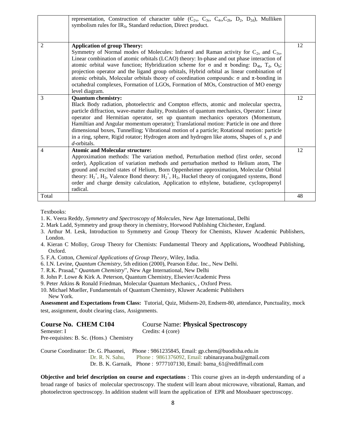|                | representation, Construction of character table ( $C_2$ , $C_3$ , $C_4$ , $C_{2h}$ , $D_2$ , $D_{2d}$ ), Mulliken<br>symbolism rules for IR <sub>S</sub> , Standard reduction, Direct product.                                                                                                                                                                                                                                                                                                                                                                                                                                                                                                |    |
|----------------|-----------------------------------------------------------------------------------------------------------------------------------------------------------------------------------------------------------------------------------------------------------------------------------------------------------------------------------------------------------------------------------------------------------------------------------------------------------------------------------------------------------------------------------------------------------------------------------------------------------------------------------------------------------------------------------------------|----|
| $\overline{c}$ | <b>Application of group Theory:</b><br>Symmetry of Normal modes of Molecules: Infrared and Raman activity for $C_{2v}$ and $C_{3v}$ ,<br>Linear combination of atomic orbitals (LCAO) theory: In-phase and out phase interaction of<br>atomic orbital wave function; Hybridization scheme for $\sigma$ and $\pi$ bonding: D <sub>4h</sub> , T <sub>d</sub> , O <sub>h</sub> ;<br>projection operator and the ligand group orbitals, Hybrid orbital as linear combination of<br>atomic orbitals, Molecular orbitals theory of coordination compounds: $\sigma$ and $\pi$ -bonding in<br>octahedral complexes, Formation of LGOs, Formation of MOs, Construction of MO energy<br>level diagram. | 12 |
| 3              | <b>Quantum chemistry:</b><br>Black Body radiation, photoelectric and Compton effects, atomic and molecular spectra,<br>particle diffraction, wave-matter duality, Postulates of quantum mechanics, Operator: Linear<br>operator and Hermitian operator, set up quantum mechanics operators (Momentum,<br>Hamiltian and Angular momentum operator); Translational motion: Particle in one and three<br>dimensional boxes, Tunnelling; Vibrational motion of a particle; Rotational motion: particle<br>in a ring, sphere, Rigid rotator; Hydrogen atom and hydrogen like atoms, Shapes of $s$ , $p$ and<br>$d$ -orbitals.                                                                      | 12 |
| 4              | <b>Atomic and Molecular structure:</b><br>Approximation methods: The variation method, Perturbation method (first order, second<br>order), Application of variation methods and perturbation method to Helium atom, The<br>ground and excited states of Helium, Born Oppenheimer approximation, Molecular Orbital<br>theory: $H_2^+$ , $H_2$ , Valence Bond theory: $H_2^+$ , $H_2$ , Huckel theory of conjugated systems, Bond<br>order and charge density calculation, Application to ethylene, butadiene, cyclopropenyl<br>radical.                                                                                                                                                        | 12 |
| Total          |                                                                                                                                                                                                                                                                                                                                                                                                                                                                                                                                                                                                                                                                                               | 48 |

- 1. K. Veera Reddy, *Symmetry and Spectroscopy of Molecules*, New Age International, Delhi
- 2. Mark Ladd, Symmetry and group theory in chemistry, Horwood Publishing Chichester, England.
- 3. Arthur M. Lesk, Introduction to Symmetry and Group Theory for Chemists, Kluwer Academic Publishers, London.
- 4. Kieran C Molloy, Group Theory for Chemists: Fundamental Theory and Applications**,** Woodhead Publishing, Oxford.
- 5. F.A. Cotton, *Chemical Applications of Group Theory*, Wiley, India.
- 6. I.N. Levine, *Quantum Chemistry*, 5th edition (2000), Pearson Educ. Inc., New Delhi.
- 7. R.K. Prasad," *Quantum Chemistry*", New Age International, New Delhi
- 8. John P. Lowe & Kirk A. Peterson, Quantum Chemistry, Elsevier/Academic Press
- 9. Peter Atkins & Ronald Friedman, Molecular Quantum Mechanics, , Oxford Press.
- 10. Michael Mueller, Fundamentals of Quantum Chemistry, Kluwer Academic Publishers New York.

**Assessment and Expectations from Class:** Tutorial, Quiz, Midsem-20, Endsem-80, attendance, Punctuality, mock test, assignment, doubt clearing class, Assignments.

| <b>Course No. CHEM C104</b> | <b>Course Name: Physical Spectroscopy</b> |
|-----------------------------|-------------------------------------------|
| Semester: I                 | Credits: 4 (core)                         |

Pre-requisites: B. Sc. (Hons.) Chemistry

Course Coordinator: Dr. G. Phaomei, Phone : 9861235845, Email: gp.chem@buodisha.edu.in Dr. R. N. Sahu, Phone : 9861376092, Email: rabinarayana.bu@gmail.com

Dr. B. K. Garnaik, Phone : 9777107130, Email: [bama\\_61@rediffmail.com](mailto:garnaikbamakanta@gmail.com) 

**Objective and brief description on course and expectations** : This course gives an in-depth understanding of a broad range of basics of molecular spectroscopy. The student will learn about microwave, vibrational, Raman, and photoelectron spectroscopy. In addition student will learn the application of EPR and Mossbauer spectroscopy.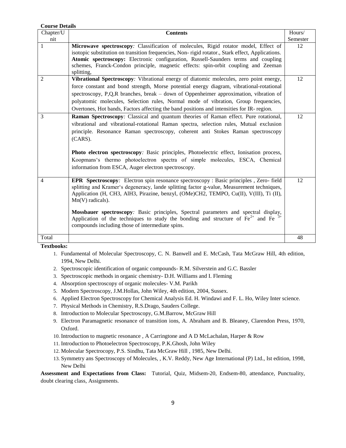| <b>Course Details</b> |                                                                                                                                                                             |          |
|-----------------------|-----------------------------------------------------------------------------------------------------------------------------------------------------------------------------|----------|
| Chapter/U             | <b>Contents</b>                                                                                                                                                             | Hours/   |
| nit                   |                                                                                                                                                                             | Semester |
| 1                     | Microwave spectroscopy: Classification of molecules, Rigid rotator model, Effect of                                                                                         | 12       |
|                       | isotopic substitution on transition frequencies, Non-rigid rotator., Stark effect, Applications.                                                                            |          |
|                       | Atomic spectroscopy: Electronic configuration, Russell-Saunders terms and coupling                                                                                          |          |
|                       | schemes, Franck-Condon principle, magnetic effects: spin-orbit coupling and Zeeman                                                                                          |          |
|                       | splitting,                                                                                                                                                                  |          |
| $\overline{2}$        | Vibrational Spectroscopy: Vibrational energy of diatomic molecules, zero point energy,                                                                                      | 12       |
|                       | force constant and bond strength, Morse potential energy diagram, vibrational-rotational                                                                                    |          |
|                       | spectroscopy, P,Q,R branches, break $-$ down of Oppenheimer approximation, vibration of                                                                                     |          |
|                       | polyatomic molecules, Selection rules, Normal mode of vibration, Group frequencies,                                                                                         |          |
|                       | Overtones, Hot bands, Factors affecting the band positions and intensities for IR-region.                                                                                   |          |
| 3                     | Raman Spectroscopy: Classical and quantum theories of Raman effect. Pure rotational,                                                                                        | 12       |
|                       | vibrational and vibrational-rotational Raman spectra, selection rules, Mutual exclusion                                                                                     |          |
|                       | principle. Resonance Raman spectroscopy, coherent anti Stokes Raman spectroscopy                                                                                            |          |
|                       | $(CARS)$ .                                                                                                                                                                  |          |
|                       |                                                                                                                                                                             |          |
|                       | Photo electron spectroscopy: Basic principles, Photoelectric effect, Ionisation process,                                                                                    |          |
|                       | Koopmans's thermo photoelectron spectra of simple molecules, ESCA, Chemical                                                                                                 |          |
|                       | information from ESCA, Auger electron spectroscopy.                                                                                                                         |          |
|                       |                                                                                                                                                                             |          |
| 4                     | <b>EPR Spectroscopy</b> : Electron spin resonance spectroscopy : Basic principles, Zero- field                                                                              | 12       |
|                       | splitting and Kramer's degeneracy, lande splitting factor g-value, Measurement techniques,                                                                                  |          |
|                       | Application (H, CH3, AlH3, Pirazine, benzyl, (OMe)CH2, TEMPO, Cu(II), V(III), Ti (II),                                                                                      |          |
|                       | $Mn(V)$ radicals).                                                                                                                                                          |          |
|                       |                                                                                                                                                                             |          |
|                       | Mossbauer spectroscopy: Basic principles, Spectral parameters and spectral display,<br>Application of the techniques to study the bonding and structure of $Fe^{2+}$ and Fe |          |
|                       | compounds including those of intermediate spins.                                                                                                                            |          |
|                       |                                                                                                                                                                             |          |
| Total                 |                                                                                                                                                                             | 48       |
|                       |                                                                                                                                                                             |          |

- 1. Fundamental of Molecular Spectroscopy, C. N. Banwell and E. McCash, Tata McGraw Hill, 4th edition, 1994, New Delhi.
- 2. Spectroscopic identification of organic compounds- R.M. Silverstein and G.C. Bassler
- 3. Spectroscopic methods in organic chemistry- D.H. Williams and I. Fleming
- 4. Absorption spectroscopy of organic molecules- V.M. Parikh
- 5. Modern Spectroscopy, J.M.Hollas, John Wiley, 4th edition, 2004, Sussex.
- 6. Applied Electron Spectroscopy for Chemical Analysis Ed. H. Windawi and F. L. Ho, Wiley Inter science.
- 7. Physical Methods in Chemistry, R.S.Drago, Sauders College.
- 8. Introduction to Molecular Spectroscopy, G.M.Barrow, McGraw Hill
- 9. Electron Paramagnetic resonance of transition ions, A. Abraham and B. Bleaney, Clarendon Press, 1970, Oxford.
- 10. Introduction to magnetic resonance , A Carringtone and A D McLachalan, Harper & Row
- 11. Introduction to Photoelectron Spectroscopy, P.K.Ghosh, John Wiley
- 12. Molecular Spectrocopy, P.S. Sindhu, Tata McGraw Hill , 1985, New Delhi.
- 13. Symmetry ans Spectroscopy of Molecules, , K.V. Reddy, New Age International (P) Ltd., Ist edition, 1998, New Delhi

**Assessment and Expectations from Class:** Tutorial, Quiz, Midsem-20, Endsem-80, attendance, Punctuality, doubt clearing class, Assignments.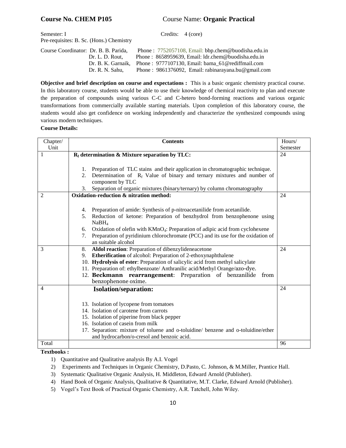### **Course No. CHEM P105** Course Name: **Organic Practical**

| Semester: I                              | Credits: 4 (core) |  |
|------------------------------------------|-------------------|--|
| Pre-requisites: B. Sc. (Hons.) Chemistry |                   |  |

Course Coordinator: Dr. B. B. Parida, Phone : 7752057108, Email: bbp.chem@buodisha.edu.in Dr. L. D. Rout, Phone : 8658959639, Email: ldr.chem@buodisha.edu.in

Dr. B. K. Garnaik, Phone : 9777107130, Email: [bama\\_61@rediffmail.com](mailto:garnaikbamakanta@gmail.com) 

Dr. R. N. Sahu, Phone : 9861376092, Email: rabinarayana.bu@gmail.com

**Objective and brief description on course and expectations :** This is a basic organic chemistry practical course. In this laboratory course, students would be able to use their knowledge of chemical reactivity to plan and execute the preparation of compounds using various C-C and C-hetero bond-forming reactions and various organic transformations from commercially available starting materials. Upon completion of this laboratory course, the students would also get confidence on working independently and characterize the synthesized compounds using various modern techniques.

### **Course Details:**

| Chapter/       | <b>Contents</b>                                                                                     | Hours/   |
|----------------|-----------------------------------------------------------------------------------------------------|----------|
| Unit           |                                                                                                     | Semester |
|                | $R_f$ determination & Mixture separation by TLC:                                                    | 24       |
|                |                                                                                                     |          |
|                | Preparation of TLC stains and their application in chromatographic technique.<br>1.                 |          |
|                | Determination of $R_f$ Value of binary and ternary mixtures and number of<br>2.<br>component by TLC |          |
|                | Separation of organic mixtures (binary/ternary) by column chromatography<br>3.                      |          |
| $\overline{2}$ | Oxidation-reduction & nitration method:                                                             | 24       |
|                |                                                                                                     |          |
|                | Preparation of amide: Synthesis of p-nitroacetanilide from acetanilide.<br>4.                       |          |
|                | Reduction of ketone: Preparation of benzhydrol from benzophenone using<br>5.                        |          |
|                | NaBH <sub>4</sub>                                                                                   |          |
|                | Oxidation of olefin with KMnO <sub>4</sub> : Preparation of adipic acid from cyclohexene<br>6.      |          |
|                | Preparation of pyridinium chlorochromate (PCC) and its use for the oxidation of<br>7.               |          |
|                | an suitable alcohol                                                                                 |          |
| 3              | Aldol reaction: Preparation of dibenzylideneacetone<br>8.                                           | 24       |
|                | <b>Etherification</b> of alcohol: Preparation of 2-ethoxynaphthalene<br>9.                          |          |
|                | 10. Hydrolysis of ester: Preparation of salicylic acid from methyl salicylate                       |          |
|                | 11. Preparation of: ethylbenzoate/ Anthranilic acid/Methyl Orange/azo-dye.                          |          |
|                | 12. Beckmann rearrangement: Preparation of benzanilide<br>from                                      |          |
|                | benzophenone oxime.                                                                                 |          |
| $\overline{4}$ | <b>Isolation/separation:</b>                                                                        | 24       |
|                |                                                                                                     |          |
|                | 13. Isolation of lycopene from tomatoes                                                             |          |
|                | 14. Isolation of carotene from carrots                                                              |          |
|                | 15. Isolation of piperine from black pepper                                                         |          |
|                | 16. Isolation of case in from milk                                                                  |          |
|                | 17. Separation: mixture of toluene and o-toluidine/ benzene and o-toluidine/ether                   |          |
|                | and hydrocarbon/o-cresol and benzoic acid.                                                          |          |
| Total          |                                                                                                     | 96       |

### **Textbooks :**

- 1) Quantitative and Qualitative analysis By A.I. Vogel
- 2) Experiments and Techniques in Organic Chemistry, D.Pasto, C. Johnson, & M.Miller, Prantice Hall.
- 3) Systematic Qualitative Organic Analysis, H. Middleton, Edward Arnold (Publisher).
- 4) Hand Book of Organic Analysis, Qualitative & Quantitative, M.T. Clarke, Edward Arnold (Publisher).
- 5) Vogel's Text Book of Practical Organic Chemistry, A.R. Tatchell, John Wiley.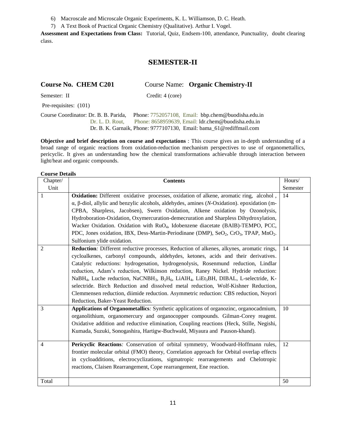6) Macroscale and Microscale Organic Experiments, K. L. Williamson, D. C. Heath.

7) A Text Book of Practical Organic Chemistry (Qualitative). Arthur I. Vogel.

**Assessment and Expectations from Class:** Tutorial, Quiz, Endsem-100, attendance, Punctuality, doubt clearing class.

### **SEMESTER-II**

### **Course No. CHEM C201** Course Name: **Organic Chemistry-II**

Semester: II Credit: 4 (core)

Pre-requisites: (101)

Course Coordinator: Dr. B. B. Parida, Phone: 7752057108, Email: bbp.chem@buodisha.edu.in Dr. L. D. Rout, Phone: 8658959639, Email: ldr.chem@buodisha.edu.in Dr. B. K. Garnaik, Phone: 9777107130, Email: bama\_61@rediffmail.com

**Objective and brief description on course and expectations** : This course gives an in-depth understanding of a broad range of organic reactions from oxidation-reduction mechanism perspectives to use of organomettallics, pericyclic. It gives an understanding how the chemical transformations achievable through interaction between light/heat and organic compounds.

| Chapter/       | <b>Contents</b>                                                                                                                                                                                                                                                                                                                                                                                                                                                                                                                                                                                                                                                                                                                                       | Hours/   |
|----------------|-------------------------------------------------------------------------------------------------------------------------------------------------------------------------------------------------------------------------------------------------------------------------------------------------------------------------------------------------------------------------------------------------------------------------------------------------------------------------------------------------------------------------------------------------------------------------------------------------------------------------------------------------------------------------------------------------------------------------------------------------------|----------|
| Unit           |                                                                                                                                                                                                                                                                                                                                                                                                                                                                                                                                                                                                                                                                                                                                                       | Semester |
| 1              | <b>Oxidation:</b> Different oxidative processes, oxidation of alkene, aromatic ring, alcohol,<br>$\alpha$ , $\beta$ -diol, allylic and benzylic alcohols, aldehydes, amines ( <i>N</i> -Oxidation). epoxidation (m-<br>CPBA, Sharpless, Jacobsen), Swern Oxidation, Alkene oxidation by Ozonolysis,<br>Hydroboration-Oxidation, Oxymercuration-demecruration and Sharpless Dihydroxylation,<br>Wacker Oxidation. Oxidation with RuO <sub>4</sub> , Idobenzene diacetate (BAIB)-TEMPO, PCC,<br>PDC, Jones oxidation, IBX, Dess-Martin-Periodinane (DMP), SeO <sub>2</sub> , CrO <sub>3</sub> , TPAP, MnO <sub>2</sub> .<br>Sulfonium ylide oxidation.                                                                                                  | 14       |
| 2              | <b>Reduction</b> : Different reductive processes, Reduction of alkenes, alkynes, aromatic rings,<br>cycloalkenes, carbonyl compounds, aldehydes, ketones, acids and their derivatives.<br>Catalytic reductions: hydrogenation, hydrogenolysis, Rosenmund reduction, Lindlar<br>reduction, Adam's reduction, Wilkinson reduction, Raney Nickel. Hydride reduction:<br>NaBH <sub>4</sub> , Luche reduction, NaCNBH <sub>3</sub> , B <sub>2</sub> H <sub>6</sub> , LiAlH <sub>4</sub> , LiEt <sub>3</sub> BH, DIBAL, L-selectride, K-<br>selectride. Birch Reduction and dissolved metal reduction, Wolf-Kishner Reduction,<br>Clemmensen reduction, diimide reduction. Asymmetric reduction: CBS reduction, Noyori<br>Reduction, Baker-Yeast Reduction. | 14       |
| 3              | Applications of Organometallics. Synthetic applications of organozinc, organocadmium,<br>organolithium, organomercury and organocopper compounds. Gilman-Corey reagent.<br>Oxidative addition and reductive elimination, Coupling reactions (Heck, Stille, Negishi,<br>Kumada, Suzuki, Sonogashira, Hartigw-Buchwald, Miyaura and Pauson-khand).                                                                                                                                                                                                                                                                                                                                                                                                      | 10       |
| $\overline{4}$ | Pericyclic Reactions: Conservation of orbital symmetry, Woodward-Hoffmann rules,<br>frontier molecular orbital (FMO) theory, Correlation approach for Orbital overlap effects<br>in cycloadditions, electrocyclizations, sigmatropic rearrangements and Chelotropic<br>reactions, Claisen Rearrangement, Cope rearrangement, Ene reaction.                                                                                                                                                                                                                                                                                                                                                                                                            | 12       |
| Total          |                                                                                                                                                                                                                                                                                                                                                                                                                                                                                                                                                                                                                                                                                                                                                       | 50       |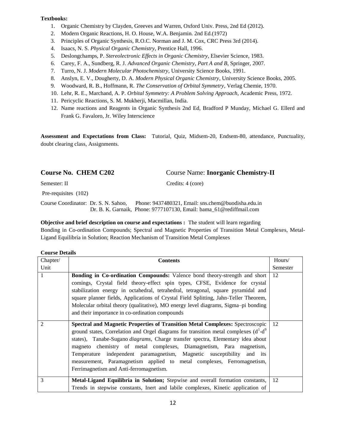- 1. Organic Chemistry by Clayden, Greeves and Warren, Oxford Univ. Press, 2nd Ed (2012).
- 2. Modern Organic Reactions, H. O. House, W.A. Benjamin. 2nd Ed.(1972)
- 3. Principles of Organic Synthesis, R.O.C. Norman and J. M. Cox, CRC Press 3rd (2014).
- 4. Isaacs, N. S. *Physical Organic Chemistry*, Prentice Hall, 1996.
- 5. Deslongchamps, P. *Stereolectronic Effects in Organic Chemistry*, Elsevier Science, 1983.
- 6. Carey, F. A., Sundberg, R. J. *Advanced Organic Chemistry*, *Part A and B*, Springer, 2007.
- 7. Turro, N. J. *Modern Molecular Photochemistry*, University Science Books, 1991.
- 8. Anslyn, E. V., Dougherty, D. A. *Modern Physical Organic Chemistry*, University Science Books, 2005.
- 9. Woodward, R. B., Hoffmann, R. *The Conservation of Orbital Symmetry*, Verlag Chemie, 1970.
- 10. Lehr, R. E., Marchand, A. P. *Orbital Symmetry: A Problem Solving Approach*, Academic Press, 1972.
- 11. Pericyclic Reactions, S. M. Mukherji, Macmillan, India.
- 12. Name reactions and Reagents in Organic Synthesis 2nd Ed, Bradford P Munday, Michael G. Ellerd and Frank G. Favaloro, Jr. Wiley Interscience

**Assessment and Expectations from Class:** Tutorial, Quiz, Midsem-20, Endsem-80, attendance, Punctuality, doubt clearing class, Assignments.

### **Course No. CHEM C202** Course Name: **Inorganic Chemistry-II**

Semester: II Credits: 4 (core)

Pre-requisites (102)

Course Coordinator: Dr. S. N. Sahoo, Phone: 9437480321, Email: sns.chem@buodisha.edu.in Dr. B. K. Garnaik, Phone: 9777107130, Email: [bama\\_61@rediffmail.com](mailto:garnaikbamakanta@gmail.com)

**Objective and brief description on course and expectations :** The student will learn regarding

Bonding in Co-ordination Compounds; Spectral and Magnetic Properties of Transition Metal Complexes, Metal-Ligand Equilibria in Solution; Reaction Mechanism of Transition Metal Complexes

| Chapter/ | <b>Contents</b>                                                                                                                                                                                                                                                                                                                                                                                                                                                                                                                          | Hours/   |
|----------|------------------------------------------------------------------------------------------------------------------------------------------------------------------------------------------------------------------------------------------------------------------------------------------------------------------------------------------------------------------------------------------------------------------------------------------------------------------------------------------------------------------------------------------|----------|
| Unit     |                                                                                                                                                                                                                                                                                                                                                                                                                                                                                                                                          | Semester |
|          | Bonding in Co-ordination Compounds: Valence bond theory-strength and short<br>comings, Crystal field theory-effect spin types, CFSE, Evidence for crystal<br>stabilization energy in octahedral, tetrahedral, tetragonal, square pyramidal and<br>square planner fields, Applications of Crystal Field Splitting, Jahn-Teller Theorem,<br>Molecular orbital theory (qualitative), MO energy level diagrams, Sigma–pi bonding<br>and their importance in co-ordination compounds                                                          | 12       |
| 2        | Spectral and Magnetic Properties of Transition Metal Complexes: Spectroscopic<br>ground states, Correlation and Orgel diagrams for transition metal complexes $(d1-d9)$<br>states), Tanabe-Sugano <i>diagrams</i> , Charge transfer spectra, Elementary idea about<br>magneto chemistry of metal complexes, Diamagnetism, Para magnetism,<br>Temperature independent paramagnetism, Magnetic susceptibility and its<br>measurement, Paramagnetism applied to metal complexes, Ferromagnetism,<br>Ferrimagnetism and Anti-ferromagnetism. | 12       |
| 3        | Metal-Ligand Equilibria in Solution; Stepwise and overall formation constants,<br>Trends in stepwise constants, Inert and labile complexes, Kinetic application of                                                                                                                                                                                                                                                                                                                                                                       | 12       |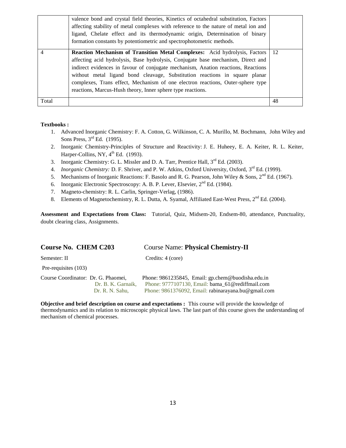|       | valence bond and crystal field theories, Kinetics of octahedral substitution, Factors<br>affecting stability of metal complexes with reference to the nature of metal ion and<br>ligand, Chelate effect and its thermodynamic origin, Determination of binary<br>formation constants by potentiometric and spectrophotometric methods.                                                                                                                                               |    |
|-------|--------------------------------------------------------------------------------------------------------------------------------------------------------------------------------------------------------------------------------------------------------------------------------------------------------------------------------------------------------------------------------------------------------------------------------------------------------------------------------------|----|
|       | Reaction Mechanism of Transition Metal Complexes: Acid hydrolysis, Factors<br>affecting acid hydrolysis, Base hydrolysis, Conjugate base mechanism, Direct and<br>indirect evidences in favour of conjugate mechanism, Anation reactions, Reactions<br>without metal ligand bond cleavage, Substitution reactions in square planar<br>complexes, Trans effect, Mechanism of one electron reactions, Outer-sphere type<br>reactions, Marcus-Hush theory, Inner sphere type reactions. | 12 |
| Total |                                                                                                                                                                                                                                                                                                                                                                                                                                                                                      | 48 |

- 1. Advanced Inorganic Chemistry: F. A. Cotton, G. Wilkinson, C. A. Murillo, M. Bochmann, John Wiley and Sons Press, 3<sup>rd</sup> Ed. (1995).
- 2. Inorganic Chemistry-Principles of Structure and Reactivity: J. E. Huheey, E. A. Keiter, R. L. Keiter, Harper-Collins, NY,  $4^{\text{th}}$  Ed. (1993).
- 3. Inorganic Chemistry: G. L. Missler and D. A. Tarr, Prentice Hall,  $3<sup>rd</sup>$  Ed. (2003).
- 4. *Inorganic Chemistry: D. F. Shriver, and P. W. Atkins, Oxford University, Oxford, 3<sup>rd</sup> Ed. (1999).*
- 5. Mechanisms of Inorganic Reactions: F. Basolo and R. G. Pearson, John Wiley & Sons,  $2<sup>nd</sup> Ed.$  (1967).
- 6. Inorganic Electronic Spectroscopy: A. B. P. Lever, Elsevier,  $2<sup>nd</sup>$  Ed. (1984).
- 7. Magneto-chemistry: R. L. Carlin, Springer-Verlag, (1986).
- 8. Elements of Magnetochemistry, R. L. Dutta, A. Syamal, Affiliated East-West Press, 2<sup>nd</sup> Ed. (2004).

**Assessment and Expectations from Class:** Tutorial, Quiz, Midsem-20, Endsem-80, attendance, Punctuality, doubt clearing class, Assignments.

### **Course No. CHEM C203** Course Name: **Physical Chemistry-II**

Semester: II Credits: 4 (core)

Pre-requisites (103)

| Course Coordinator: Dr. G. Phaomei, | Phone: $9861235845$ , Email: gp.chem@buodisha.edu.in |
|-------------------------------------|------------------------------------------------------|
| Dr. B. K. Garnaik.                  | Phone: 9777107130. Email: bama 61@rediffmail.com     |
| Dr. R. N. Sahu.                     | Phone: 9861376092, Email: rabinarayana.bu@gmail.com  |

**Objective and brief description on course and expectations :** This course will provide the knowledge of thermodynamics and its relation to microscopic physical laws. The last part of this course gives the understanding of mechanism of chemical processes.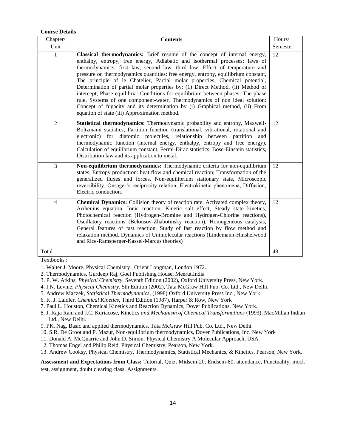### **Course Details**

| Chapter/       | <b>Contents</b>                                                                                                                                                                                                                                                                                                                                                                                                                                                                                                                                                                                                                                                                                                                                                                                       | Hours/   |
|----------------|-------------------------------------------------------------------------------------------------------------------------------------------------------------------------------------------------------------------------------------------------------------------------------------------------------------------------------------------------------------------------------------------------------------------------------------------------------------------------------------------------------------------------------------------------------------------------------------------------------------------------------------------------------------------------------------------------------------------------------------------------------------------------------------------------------|----------|
| Unit           |                                                                                                                                                                                                                                                                                                                                                                                                                                                                                                                                                                                                                                                                                                                                                                                                       | Semester |
| 1              | Classical thermodynamics: Brief resume of the concept of internal energy,<br>enthalpy, entropy, free energy, Adiabatic and isothermal processes; laws of<br>thermodynamics: first law, second law, third law; Effect of temperature and<br>pressure on thermodynamics quantities: free energy, entropy, equilibrium constant,<br>The principle of le Chatelier, Partial molar properties, Chemical potential,<br>Determination of partial molar properties by: (1) Direct Method, (ii) Method of<br>intercept; Phase equilibria: Conditions for equilibrium between phases, The phase<br>rule, Systems of one component-water, Thermodynamics of non ideal solution:<br>Concept of fugacity and its determination by (i) Graphical method, (ii) From<br>equation of state (iii) Approximation method. | 12       |
| $\overline{2}$ | Statistical thermodynamics: Thermodynamic probability and entropy, Maxwell-<br>Boltzmann statistics, Partition function (translational, vibrational, rotational and<br>diatomic<br>molecules,<br>relationship<br>electronic)<br>for<br>between<br>partition<br>and<br>thermodynamic function (internal energy, enthalpy, entropy and free energy),<br>Calculation of equilibrium constant, Fermi-Dirac statistics, Bose-Einstein statistics,<br>Distribution law and its application to metal.                                                                                                                                                                                                                                                                                                        | 12       |
| 3              | Non-equilibrium thermodynamics: Thermodynamic criteria for non-equilibrium<br>states, Entropy production: heat flow and chemical reaction; Transformation of the<br>generalized fluxes and forces, Non-equilibrium stationary state, Microscopic<br>reversibility, Onsager's reciprocity relation, Electrokinetic phenomena, Diffusion,<br>Electric conduction.                                                                                                                                                                                                                                                                                                                                                                                                                                       | 12       |
| $\overline{4}$ | <b>Chemical Dynamics:</b> Collision theory of reaction rate, Activated complex theory,<br>Arrhenius equation, Ionic reaction, Kinetic salt effect, Steady state kinetics,<br>Photochemical reaction (Hydrogen-Bromine and Hydrogen-Chlorine reactions),<br>Oscillatory reactions (Belousov-Zhabotinsky reaction), Homogeneous catalysis,<br>General features of fast reaction, Study of fast reaction by flow method and<br>relaxation method. Dynamics of Unimolecular reactions (Lindemann-Hinshelwood<br>and Rice-Ramsperger-Kassel-Marcus theories)                                                                                                                                                                                                                                               | 12       |
| Total          |                                                                                                                                                                                                                                                                                                                                                                                                                                                                                                                                                                                                                                                                                                                                                                                                       | 48       |

Textbooks :

1. Walter J. Moore, Physical Chemistry , Orient Longman, London 1972..

- 2. Thermodynamics, Gurdeep Raj, Goel Publishing House, Meerut.India
- 3. P. W. Atkins, *Physical Chemistry*, Seventh Edition (2002), Oxford University Press, New York.
- 4. I.N. Levine, *Physical Chemistry*, 5th Edition (2002), Tata McGraw Hill Pub. Co. Ltd., New Delhi.
- 5. Andrew Maczek, *Statistical Thermodynamics,* (1998) Oxford University Press Inc., New York
- 6. K. J. Laidler, *Chemical Kinetics*, Third Edition (1987), Harper & Row, New York
- 7. Paul L. Houston, Chemical Kinetics and Reaction Dynamics, Dover Publications, New York.
- 8. J. Raja Ram and J.C. Kuriacose, Kinetics *and Mechanism of Chemical Transformations* (1993), MacMillan Indian Ltd., New Delhi.
- 9. PK. Nag. Basic and applied thermodynamics, Tata McGraw Hill Pub. Co. Ltd., New Delhi.
- 10. S.R. De Groot and P. Mazur, Non-equilibrium thermodynamics, Dover Publications, Inc. New York
- 11. Donald A. McQuarrie and John D. Simon, Physical Chemistry A Molecular Approach, USA.
- 12. Thomas Engel and Philip Reid, Physical Chemistry, Pearson, New York.
- 13. Andrew Cooksy, Physical Chemistry, Thermodynamics, Statistical Mechanics, & Kinetics, Pearson, New York.

**Assessment and Expectations from Class:** Tutorial, Quiz, Midsem-20, Endsem-80, attendance, Punctuality, mock test, assignment, doubt clearing class, Assignments.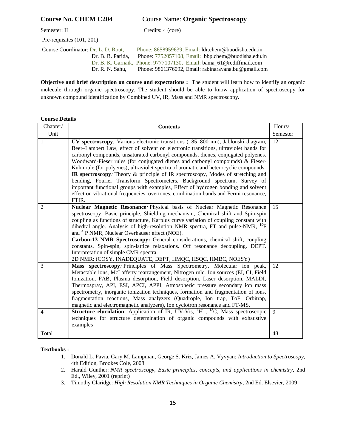### **Course No. CHEM C204** Course Name: **Organic Spectroscopy**

Pre-requisites (101, 201)

Semester: II Credits: 4 (core)

 Course Coordinator: Dr. L. D. Rout, Phone: 8658959639, Email: ldr.chem@buodisha.edu.in Dr. B. B. Parida, Phone: 7752057108, Email: bbp.chem@buodisha.edu.in Dr. B. K. Garnaik, Phone: 9777107130, Email: [bama\\_61@rediffmail.com](mailto:garnaikbamakanta@gmail.com) Dr. R. N. Sahu, Phone: 9861376092, Email: rabinarayana.bu@gmail.com

**Objective and brief description on course and expectations :** The student will learn how to identify an organic molecule through organic spectroscopy. The student should be able to know application of spectroscopy for unknown compound identification by Combined UV, IR, Mass and NMR spectroscopy.

### **Course Details**

| Chapter/       | <b>Contents</b>                                                                                                                                                                                                                                                                                                                                                                                                                                                                                                                                                                                                                                                                                                                                                                                      | Hours/   |
|----------------|------------------------------------------------------------------------------------------------------------------------------------------------------------------------------------------------------------------------------------------------------------------------------------------------------------------------------------------------------------------------------------------------------------------------------------------------------------------------------------------------------------------------------------------------------------------------------------------------------------------------------------------------------------------------------------------------------------------------------------------------------------------------------------------------------|----------|
| Unit           |                                                                                                                                                                                                                                                                                                                                                                                                                                                                                                                                                                                                                                                                                                                                                                                                      | Semester |
| 1              | UV spectroscopy: Various electronic transitions (185–800 nm), Jablonski diagram,<br>Beer-Lambert Law, effect of solvent on electronic transitions, ultraviolet bands for<br>carbonyl compounds, unsaturated carbonyl compounds, dienes, conjugated polyenes.<br>Woodward-Fieser rules (for conjugated dienes and carbonyl compounds) & Fieser-<br>Kuhn rule (for polyenes), ultraviolet spectra of aromatic and heterocyclic compounds.<br><b>IR spectroscopy</b> : Theory & principle of IR spectroscopy, Modes of stretching and<br>bending, Fourier Transform Spectrometers, Background spectrum, Survey of<br>important functional groups with examples, Effect of hydrogen bonding and solvent<br>effect on vibrational frequencies, overtones, combination bands and Fermi resonance,<br>FTIR. | 12       |
| 2              | Nuclear Magnetic Resonance: Physical basis of Nuclear Magnetic Resonance<br>spectroscopy, Basic principle, Shielding mechanism, Chemical shift and Spin-spin<br>coupling as functions of structure, Karplus curve variation of coupling constant with<br>dihedral angle. Analysis of high-resolution NMR spectra, FT and pulse-NMR, <sup>19</sup> F<br>and <sup>31</sup> P NMR, Nuclear Overhauser effect (NOE).<br>Carbon-13 NMR Spectroscopy: General considerations, chemical shift, coupling<br>constants. Spin-spin, spin-lattice relaxations. Off resonance decoupling. DEPT.<br>Interpretation of simple CMR spectra.<br>2D NMR: (COSY, INADEQUATE, DEPT, HMQC, HSQC, HMBC, NOESY)                                                                                                            | 15       |
| 3              | Mass spectroscopy: Principles of Mass Spectrometry, Molecular ion peak,<br>Metastable ions, McLafferty rearrangement, Nitrogen rule. Ion sources (EI, CI, Field<br>Ionization, FAB, Plasma desorption, Field desorption, Laser desorption, MALDI,<br>Thermospray, API, ESI, APCI, APPI, Atmospheric pressure secondary ion mass<br>spectrometry, inorganic ionization techniques, formation and fragmentation of ions,<br>fragmentation reactions, Mass analyzers (Quadrople, Ion trap, ToF, Orbitrap,<br>magnetic and electromagnetic analyzers), Ion cyclotron resonance and FT-MS.                                                                                                                                                                                                                | 12       |
| $\overline{4}$ | <b>Structure elucidation:</b> Application of IR, UV-Vis, ${}^{1}H$ , ${}^{13}C$ , Mass spectroscopic<br>techniques for structure determination of organic compounds with exhaustive<br>examples                                                                                                                                                                                                                                                                                                                                                                                                                                                                                                                                                                                                      | 9        |
| Total          |                                                                                                                                                                                                                                                                                                                                                                                                                                                                                                                                                                                                                                                                                                                                                                                                      | 48       |

**Textbooks :** 

- 1. Donald L. Pavia, Gary M. Lampman, George S. Kriz, James A. Vyvyan: *Introduction to Spectroscopy*, 4th Edition, Brookes Cole, 2008.
- 2. Harald Gunther: *NMR spectroscopy, Basic principles, concepts, and applications in chemistry*, 2nd Ed., Wiley, 2001 (reprint)
- 3. Timothy Claridge: *High Resolution NMR Techniques in Organic Chemistry*, 2nd Ed. Elsevier, 2009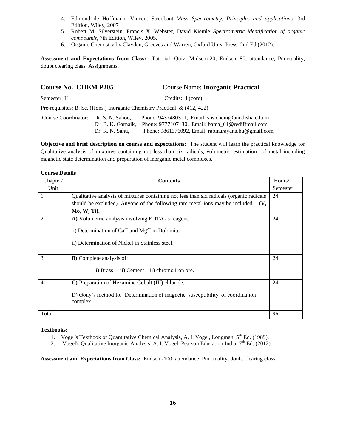- 4. Edmond de Hoffmann, Vincent Stroobant: *Mass Spectrometry, Principles and applications*, 3rd Edition, Wiley, 2007
- 5. Robert M. Silverstein, Francis X. Webster, David Kiemle: *Spectrometric identification of organic compounds*, 7th Edition, Wiley, 2005.
- 6. Organic Chemistry by Clayden, Greeves and Warren, Oxford Univ. Press, 2nd Ed (2012).

**Assessment and Expectations from Class:** Tutorial, Quiz, Midsem-20, Endsem-80, attendance, Punctuality, doubt clearing class, Assignments.

| <b>Course No. CHEM P205</b>          |                                       | <b>Course Name: Inorganic Practical</b>                                                                                                                       |
|--------------------------------------|---------------------------------------|---------------------------------------------------------------------------------------------------------------------------------------------------------------|
| Semester: II                         |                                       | Credits: 4 (core)                                                                                                                                             |
|                                      |                                       | Pre-requisites: B. Sc. (Hons.) Inorganic Chemistry Practical & $(412, 422)$                                                                                   |
| Course Coordinator: Dr. S. N. Sahoo, | Dr. B. K. Garnaik.<br>Dr. R. N. Sahu, | Phone: 9437480321, Email: sns.chem@buodisha.edu.in<br>Phone: 9777107130, Email: bama_61@rediffmail.com<br>Phone: 9861376092, Email: rabinarayana.bu@gmail.com |

**Objective and brief description on course and expectations:** The student will learn the practical knowledge for Qualitative analysis of mixtures containing not less than six radicals, volumetric estimation of metal including magnetic state determination and preparation of inorganic metal complexes.

### **Course Details**

| Chapter/       | <b>Contents</b>                                                                           | Hours/   |
|----------------|-------------------------------------------------------------------------------------------|----------|
| Unit           |                                                                                           | Semester |
| 1              | Qualitative analysis of mixtures containing not less than six radicals (organic radicals  | 24       |
|                | should be excluded). Anyone of the following rare metal ions may be included. $(V,$       |          |
|                | Mo, W, Ti).                                                                               |          |
| $\overline{2}$ | A) Volumetric analysis involving EDTA as reagent.                                         | 24       |
|                | i) Determination of $Ca^{2+}$ and $Mg^{2+}$ in Dolomite.                                  |          |
|                | ii) Determination of Nickel in Stainless steel.                                           |          |
| 3              | <b>B</b> ) Complete analysis of:                                                          | 24       |
|                | ii) Cement iii) chromo iron ore.<br>i) Brass                                              |          |
| $\overline{4}$ | C) Preparation of Hexamine Cobalt (III) chloride.                                         | 24       |
|                | D) Gouy's method for Determination of magnetic susceptibility of coordination<br>complex. |          |
| Total          |                                                                                           | 96       |

### **Textbooks:**

- 1. Vogel's Textbook of Quantitative Chemical Analysis, A. I. Vogel, Longman, 5<sup>th</sup> Ed. (1989).
- 2. Vogel's Qualitative Inorganic Analysis, A. I. Vogel, Pearson Education India,  $7<sup>th</sup>$  Ed. (2012).

**Assessment and Expectations from Class:** Endsem-100, attendance, Punctuality, doubt clearing class.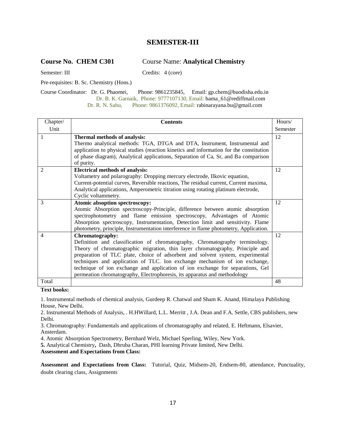### **SEMESTER-III**

### **Course No. CHEM C301** Course Name: **Analytical Chemistry**

Semester: III Credits: 4 (core)

Pre-requisites: B. Sc. Chemistry (Hons.)

Course Coordinator: Dr. G. Phaomei, Phone: 9861235845, Email: gp.chem@buodisha.edu.in Dr. B. K. Garnaik, Phone: 9777107130, Email: bama\_61@rediffmail.com Dr. R. N. Sahu, Phone: 9861376092, Email: rabinarayana.bu@gmail.com

| Chapter/       | <b>Contents</b>                                                                         | Hours/   |
|----------------|-----------------------------------------------------------------------------------------|----------|
| Unit           |                                                                                         | Semester |
| 1              | Thermal methods of analysis:                                                            | 12       |
|                | Thermo analytical methods: TGA, DTGA and DTA, Instrument, Instrumental and              |          |
|                | application to physical studies (reaction kinetics and information for the constitution |          |
|                | of phase diagram), Analytical applications, Separation of Ca, Sr, and Ba comparison     |          |
|                | of purity.                                                                              |          |
| $\overline{2}$ | <b>Electrical methods of analysis:</b>                                                  | 12       |
|                | Voltametry and polarography: Dropping mercury electrode, Ilkovic equation,              |          |
|                | Current-potential curves, Reversible reactions, The residual current, Current maxima,   |          |
|                | Analytical applications, Amperometric titration using rotating platinum electrode,      |          |
|                | Cyclic voltammetry.                                                                     |          |
| $\mathcal{R}$  | Atomic absoption spectroscopy:                                                          | 12       |
|                | Atomic Absorption spectroscopy-Principle, difference between atomic absorption          |          |
|                | spectrophotometry and flame emission spectroscopy, Advantages of Atomic                 |          |
|                | Absorption spectroscopy, Instrumentation, Detection limit and sensitivity. Flame        |          |
|                | photometry, principle, Instrumentation interference in flame photometry, Application.   |          |
| $\overline{4}$ | Chromatography:                                                                         | 12       |
|                | Definition and classification of chromatography, Chromatography terminology.            |          |
|                | Theory of chromatographic migration, thin layer chromatography, Principle and           |          |
|                | preparation of TLC plate, choice of adsorbent and solvent system, experimental          |          |
|                | techniques and application of TLC. Ion exchange mechanism of ion exchange,              |          |
|                | technique of ion exchange and application of ion exchange for separations, Gel          |          |
|                | permeation chromatography, Electrophoresis, its apparatus and methodology               |          |
| Total          |                                                                                         | 48       |

**Text books:** 

1. Instrumental methods of chemical analysis, Gurdeep R. Chatwal and Sham K. Anand, Himalaya Publishing House, New Delhi.

2. Instrumental Methods of Analysis, . H.HWillard, L.L. Merritt , J.A. Dean and F.A. Settle, CBS publishers, new Delhi.

3. Chromatography: Fundamentals and applications of chromatography and related, E. Heftmann, Elsavier, Ansterdam.

4. Atomic Absorption Spectrometry, Bernhard Welz, Michael Sperling, Wiley, New York.

**5.** Analytical Chemistry**,** Dash, Dhruba Charan, PHI learning Private limited, New Delhi.

**Assessment and Expectations from Class:** 

**Assessment and Expectations from Class:** Tutorial, Quiz, Midsem-20, Endsem-80, attendance, Punctuality, doubt clearing class, Assignments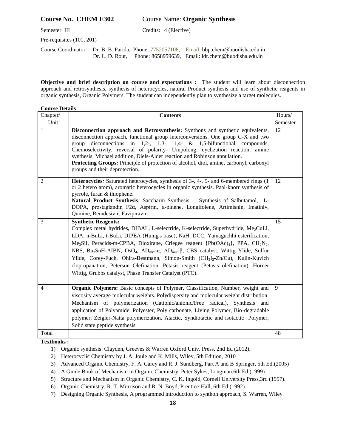### **Course No. CHEM E302** Course Name: **Organic Synthesis**

Semester: III Credits: 4 (Elective)

Pre-requisites (101, 201)

Course Coordinator: Dr. B. B. Parida, Phone: 7752057108, Email: bbp.chem@buodisha.edu.in Dr. L. D. Rout, Phone: 8658959639, Email: ldr.chem@buodisha.edu.in

**Objective and brief description on course and expectations :** The student will learn about disconnection approach and retrosynthesis, synthesis of heterocycles, natural Product synthesis and use of synthetic reagents in organic synthesis, Organic Polymers. The student can independently plan to synthesize a target molecules.

| <b>Course Details</b> |                                                                                                                                                                                                                                                                                                                                                                                                                                                                                                                                                                                                                                                                                                                                                  |          |
|-----------------------|--------------------------------------------------------------------------------------------------------------------------------------------------------------------------------------------------------------------------------------------------------------------------------------------------------------------------------------------------------------------------------------------------------------------------------------------------------------------------------------------------------------------------------------------------------------------------------------------------------------------------------------------------------------------------------------------------------------------------------------------------|----------|
| Chapter/              | <b>Contents</b>                                                                                                                                                                                                                                                                                                                                                                                                                                                                                                                                                                                                                                                                                                                                  | Hours/   |
| Unit                  |                                                                                                                                                                                                                                                                                                                                                                                                                                                                                                                                                                                                                                                                                                                                                  | Semester |
| 1                     | Disconnection approach and Retrosynthesis: Synthons and synthetic equivalents,<br>disconnection approach, functional group interconversions. One group C-X and two<br>disconnections in 1,2-, 1,3-, 1,4- $\&$ 1,5-bifunctional compounds,<br>group<br>Chemoselectivity, reversal of polarity- Umpolong, cyclization reaction, amine<br>synthesis. Michael addition, Diels-Alder reaction and Robinson annulation.<br>Protecting Groups: Principle of protection of alcohol, diol, amine, carbonyl, carboxyl<br>groups and their deprotection.                                                                                                                                                                                                    | 12       |
| $\overline{2}$        | <b>Heterocycles:</b> Saturated heterocycles, synthesis of 3-, 4-, 5- and 6-membered rings (1)<br>or 2 hetero atom), aromatic heterocycles in organic synthesis. Paal-knorr synthesis of<br>pyrrole, furan & thiophene.<br>Natural Product Synthesis: Saccharin Synthesis.<br>Synthesis of Salbutamol, L-<br>DOPA, prostaglandin F2a, Aspirin, a-pinene, Longifolene, Artimisnin, Imatiniv,<br>Quinine, Remdesivir. Favipiravir.                                                                                                                                                                                                                                                                                                                  | 12       |
| 3                     | <b>Synthetic Reagents:</b><br>Complex metal hydrides, DIBAL, L-selectride, K-selectride, Superhydride, Me <sub>2</sub> CuLi,<br>LDA, n-BuLi, t-BuLi, DIPEA (Hunig's base), NaH, DCC, Yamaguchhi esterification,<br>Me <sub>3</sub> SiI, Peracids-m-CPBA, Dioxirane, Criegee reagent $\{Pb(OAc)4\}$ , PPA, CH <sub>2</sub> N <sub>2</sub> ,<br>NBS, Bu <sub>3</sub> SnH-AIBN, OsO <sub>4</sub> , AD <sub>mix</sub> -a, AD <sub>mix</sub> - $\beta$ , CBS catalyst, Wittig Ylide, Sulfur<br>Ylide, Corey-Fuch, Ohira-Bestmann, Simon-Smith (CH <sub>2</sub> I <sub>2</sub> -Zn/Cu), Kulin-Kuvich<br>clopropanation, Peterson Olefination, Petasis reagent (Petasis olefination), Horner<br>Wittig, Grubbs catalyst, Phase Transfer Catalyst (PTC). | 15       |
| 4                     | <b>Organic Polymers:</b> Basic concepts of Polymer, Classification, Number, weight and<br>viscosity average molecular weights. Polydispersity and molecular weight distribution.<br>Mechanism of polymerization (Cationic/anionic/Free radical). Synthesis and<br>application of Polyamide, Polyester, Poly carbonate, Living Polymer, Bio-degradable<br>polymer, Zeigler-Natta polymerization, Atactic, Syndiotactic and isotactic Polymer,<br>Solid state peptide synthesis.                                                                                                                                                                                                                                                                   | 9        |
| Total                 |                                                                                                                                                                                                                                                                                                                                                                                                                                                                                                                                                                                                                                                                                                                                                  | 48       |

**Textbooks :** 

1) Organic synthesis: Clayden, Greeves & Warren Oxford Univ. Press, 2nd Ed (2012).

2) Heterocyclic Chemistry by J. A. Joule and K. Mills, Wiley, 5th Edition, 2010

3) Advanced Organic Chemistry, F. A. Carey and R. J. Sundberg, Part A and B Springer, 5th Ed.(2005)

- 4) A Guide Book of Mechanism in Organic Chemistry, Peter Sykes, Longman.6th Ed.(1999)
- 5) Structure and Mechanism in Organic Chemistry, C. K. Ingold, Cornell University Press,3rd (1957).
- 6) Organic Chemistry, R. T. Morrison and R. N. Boyd, Prentice-Hall, 6th Ed.(1992)
- 7) Designing Organic Synthesis, A programmed introduction to synthon approach, S. Warren, Wiley.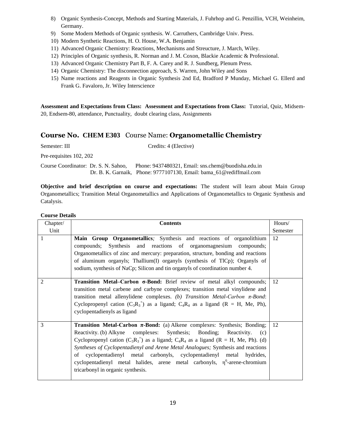- 8) Organic Synthesis-Concept, Methods and Starting Materials, J. Fuhrhop and G. Penzillin, VCH, Weinheim, Germany.
- 9) Some Modern Methods of Organic synthesis. W. Carruthers, Cambridge Univ. Press.
- 10) Modern Synthetic Reactions, H. O. House, W.A. Benjamin
- 11) Advanced Organic Chemistry: Reactions, Mechanisms and Streucture, J. March, Wiley.
- 12) Principles of Organic synthesis, R. Norman and J. M. Coxon, Blackie Academic & Professional.
- 13) Advanced Organic Chemistry Part B, F. A. Carey and R. J. Sundberg, Plenum Press.
- 14) Organic Chemistry: The disconnection approach, S. Warren, John Wiley and Sons
- 15) Name reactions and Reagents in Organic Synthesis 2nd Ed, Bradford P Munday, Michael G. Ellerd and Frank G. Favaloro, Jr. Wiley Interscience

**Assessment and Expectations from Class: Assessment and Expectations from Class:** Tutorial, Quiz, Midsem-20, Endsem-80, attendance, Punctuality, doubt clearing class, Assignments

### **Course No. CHEM E303** Course Name: **Organometallic Chemistry**

Semester: III Credits: 4 (Elective)

Pre-requisites 102, 202

Course Coordinator: Dr. S. N. Sahoo, Phone: 9437480321, Email: sns.chem@buodisha.edu.in Dr. B. K. Garnaik, Phone: 9777107130, Email[: bama\\_61@rediffmail.com](mailto:garnaikbamakanta@gmail.com)

**Objective and brief description on course and expectations:** The student will learn about Main Group Organometallics; Transition Metal Organometallics and Applications of Organometallics to Organic Synthesis and Catalysis.

| Chapter/       | <b>Contents</b>                                                                                                                                                                                                                                                                                                                                                                                                                                                                                                                                                                                                    | Hours/   |
|----------------|--------------------------------------------------------------------------------------------------------------------------------------------------------------------------------------------------------------------------------------------------------------------------------------------------------------------------------------------------------------------------------------------------------------------------------------------------------------------------------------------------------------------------------------------------------------------------------------------------------------------|----------|
| Unit           |                                                                                                                                                                                                                                                                                                                                                                                                                                                                                                                                                                                                                    | Semester |
|                | Main Group Organometallics; Synthesis and reactions of organolithium<br>compounds; Synthesis and reactions of organomagnesium compounds;<br>Organometallics of zinc and mercury: preparation, structure, bonding and reactions<br>of aluminum organyls; Thallium(I) organyls (synthesis of TlCp); Organyls of<br>sodium, synthesis of NaCp; Silicon and tin organyls of coordination number 4.                                                                                                                                                                                                                     | 12       |
| $\mathfrak{D}$ | Transition Metal–Carbon σ-Bond: Brief review of metal alkyl compounds;<br>transition metal carbene and carbyne complexes; transition metal vinylidene and<br>transition metal allenylidene complexes. (b) Transition Metal-Carbon $\pi$ -Bond:<br>Cyclopropenyl cation $(C_3R_3^{\dagger})$ as a ligand; $C_4R_4$ as a ligand (R = H, Me, Ph),<br>cyclopentadienyls as ligand                                                                                                                                                                                                                                      | 12       |
| 3              | <b>Transition Metal-Carbon <math>\pi</math>-Bond:</b> (a) Alkene complexes: Synthesis; Bonding;<br>Reactivity. (b) Alkyne complexes: Synthesis; Bonding; Reactivity.<br>(c)<br>Cyclopropenyl cation (C <sub>3</sub> R <sub>3</sub> <sup>+</sup> ) as a ligand; C <sub>4</sub> R <sub>4</sub> as a ligand (R = H, Me, Ph). (d)<br>Syntheses of Cyclopentadienyl and Arene Metal Analogues; Synthesis and reactions<br>of cyclopentadienyl metal carbonyls, cyclopentadienyl metal hydrides,<br>cyclopentadienyl metal halides, arene metal carbonyls, $\eta^6$ -arene-chromium<br>tricarbonyl in organic synthesis. | 12       |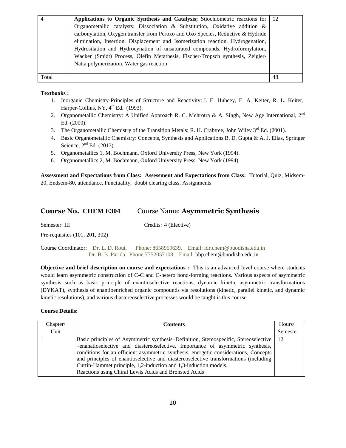| $\overline{4}$ | Applications to Organic Synthesis and Catalysis; Stiochiometric reactions for   | 12 |
|----------------|---------------------------------------------------------------------------------|----|
|                | Organometallic catalysts: Dissociation & Substitution, Oxidative addition &     |    |
|                | carbonylation, Oxygen transfer from Peroxo and Oxo Species, Reductive & Hydride |    |
|                | elimination, Insertion, Displacement and Isomerization reaction, Hydrogenation, |    |
|                | Hydrosilation and Hydrocynation of unsaturated compounds, Hydroformylation,     |    |
|                | Wacker (Smidt) Process, Olefin Metathesis, Fischer-Tropsch synthesis, Zeigler-  |    |
|                | Natta polymerization, Water gas reaction                                        |    |
|                |                                                                                 |    |
| Total          |                                                                                 | 48 |

- 1. Inorganic Chemistry-Principles of Structure and Reactivity: J. E. Huheey, E. A. Keiter, R. L. Keiter, Harper-Collins, NY,  $4^{\text{th}}$  Ed. (1993).
- 2. Organometallic Chemistry: A Unified Approach R. C. Mehrotra & A. Singh, New Age International,  $2^{nd}$ Ed. (2000).
- 3. The Organometallic Chemistry of the Transition Metals: R. H. Crabtree, John Wiley 3<sup>rd</sup> Ed. (2001).
- 4. Basic Organometallic Chemistry: Concepts, Synthesis and Applications B. D. Gupta & A. J. Elias, Springer Science,  $2<sup>nd</sup>$  Ed. (2013).
- 5. Organometallics 1*,* M. Bochmann, Oxford University Press, New York (1994).
- 6. Organometallics 2*,* M. Bochmann, Oxford University Press, New York (1994).

**Assessment and Expectations from Class: Assessment and Expectations from Class:** Tutorial, Quiz, Midsem-20, Endsem-80, attendance, Punctuality, doubt clearing class, Assignments

### **Course No. CHEM E304** Course Name: **Asymmetric Synthesis**

Semester: III Credits: 4 (Elective)

Pre-requisites (101, 201, 302)

Course Coordinator: Dr. L. D. Rout, Phone: 8658959639, Email: ldr.chem@buodisha.edu.in Dr. B. B. Parida, Phone:7752057108, Email: bbp.chem@buodisha.edu.in

**Objective and brief description on course and expectations :** This is an advanced level course where students would learn asymmetric construction of C-C and C-hetero bond-forming reactions. Various aspects of asymmetric synthesis such as basic principle of enantioselective reactions, dynamic kinetic asymmetric transformations (DYKAT), synthesis of enantioenriched organic compounds via resolutions (kinetic, parallel kinetic, and dynamic kinetic resolutions), and various diastereoselective processes would be taught is this course.

| Chapter/ | <b>Contents</b>                                                                                                                                                                                                                                                                                                                                                                                                                                                                     | Hours/   |
|----------|-------------------------------------------------------------------------------------------------------------------------------------------------------------------------------------------------------------------------------------------------------------------------------------------------------------------------------------------------------------------------------------------------------------------------------------------------------------------------------------|----------|
| Unit     |                                                                                                                                                                                                                                                                                                                                                                                                                                                                                     | Semester |
|          | Basic principles of Asymmetric synthesis–Definition, Stereospecific, Stereoselective<br>-enanatioselective and diastereoselective. Importance of asymmetric synthesis,<br>conditions for an efficient asymmetric synthesis, energetic considerations, Concepts<br>and principles of enantioselective and diastereoselective transformations (including<br>Curtin-Hammet principle, 1,2-induction and 1,3-induction models.<br>Reactions using Chiral Lewis Acids and Brønsted Acids | -12      |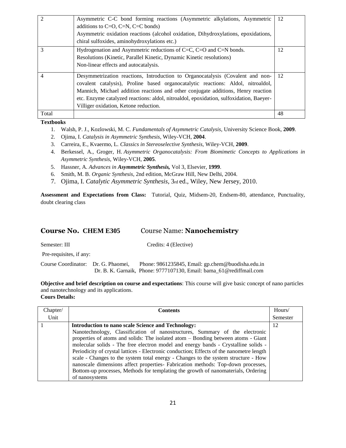|       | Asymmetric C-C bond forming reactions (Asymmetric alkylations, Asymmetric<br>additions to $C=O$ , $C=N$ , $C=C$ bonds)<br>Asymmetric oxidation reactions (alcohol oxidation, Dihydroxylations, epoxidations,<br>chiral sulfoxides, aminohydroxylations etc.)                                                                                                                                | 12 |
|-------|---------------------------------------------------------------------------------------------------------------------------------------------------------------------------------------------------------------------------------------------------------------------------------------------------------------------------------------------------------------------------------------------|----|
| 3     | Hydrogenation and Asymmetric reductions of $C=C$ , $C=O$ and $C=N$ bonds.<br>Resolutions (Kinetic, Parallel Kinetic, Dynamic Kinetic resolutions)<br>Non-linear effects and autocatalysis.                                                                                                                                                                                                  | 12 |
| 4     | Desymmetrization reactions, Introduction to Organocatalysis (Covalent and non-<br>covalent catalysis), Proline based organocatalytic reactions: Aldol, nitroaldol,<br>Mannich, Michael addition reactions and other conjugate additions, Henry reaction<br>etc. Enzyme catalyzed reactions: aldol, nitroaldol, epoxidation, sulfoxidation, Baeyer-<br>Villiger oxidation, Ketone reduction. | 12 |
| Total |                                                                                                                                                                                                                                                                                                                                                                                             | 48 |

- 1. Walsh, P. J., Kozlowski, M. C. *Fundamentals of Asymmetric Catalysis*, University Science Book, **2009**.
- 2. Ojima, I. *Catalysis in Asymmetric Synthesis*, Wiley-VCH, **2004**.
- 3. Carreira, E., Kvaermo, L. *Classics in Stereoselective Synthesis*, Wiley-VCH, **2009**.
- 4. Berkessel, A., Groger, H. *Asymmetric Organocatalysis: From Biomimetic Concepts to Applications in Asymmetric Synthesis,* Wiley-VCH, **2005**.
- 5. Hassner, A. *Advances in Asymmetric Synthesis,* Vol 3, Elsevier, **1999**.
- 6. Smith, M. B. *Organic Synthesis*, 2nd edition, McGraw Hill, New Delhi, 2004.
- 7. Ojima, I. *Catalytic Asymmetric Synthesis*, 3rd ed., Wiley, New Jersey, 2010.

**Assessment and Expectations from Class:** Tutorial, Quiz, Midsem-20, Endsem-80, attendance, Punctuality, doubt clearing class

### **Course No. CHEM E305** Course Name: **Nanochemistry**

Semester: III Credits: 4 (Elective)

Pre-requisites, if any:

Course Coordinator: Dr. G. Phaomei, Phone: 9861235845, Email: gp.chem@buodisha.edu.in Dr. B. K. Garnaik, Phone: 9777107130, Email: [bama\\_61@rediffmail.com](mailto:garnaikbamakanta@gmail.com) 

**Objective and brief description on course and expectations**: This course will give basic concept of nano particles and nanotechnology and its applications. **Cours Details:** 

| Chapter/ | <b>Contents</b>                                                                          | Hours/   |
|----------|------------------------------------------------------------------------------------------|----------|
| Unit     |                                                                                          | Semester |
|          | <b>Introduction to nano scale Science and Technology:</b>                                | 12       |
|          | Nanotechnology, Classification of nanostructures, Summary of the electronic              |          |
|          | properties of atoms and solids: The isolated atom – Bonding between atoms - Giant        |          |
|          | molecular solids - The free electron model and energy bands - Crystalline solids -       |          |
|          | Periodicity of crystal lattices - Electronic conduction; Effects of the nanometre length |          |
|          | scale - Changes to the system total energy - Changes to the system structure - How       |          |
|          | nanoscale dimensions affect properties- Fabrication methods: Top-down processes,         |          |
|          | Bottom-up processes, Methods for templating the growth of nanomaterials, Ordering        |          |
|          | of nanosystems                                                                           |          |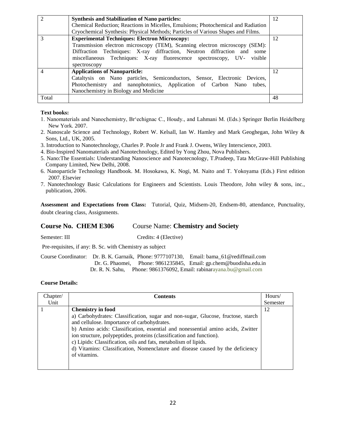|                | <b>Synthesis and Stabilization of Nano particles:</b>                             | 12 |
|----------------|-----------------------------------------------------------------------------------|----|
|                | Chemical Reduction; Reactions in Micelles, Emulsions; Photochemical and Radiation |    |
|                | Cryochemical Synthesis: Physical Methods; Particles of Various Shapes and Films.  |    |
|                | <b>Experimental Techniques: Electron Microscopy:</b>                              | 12 |
|                | Transmission electron microscopy (TEM), Scanning electron microscopy (SEM):       |    |
|                | Diffraction Techniques: X-ray diffraction, Neutron diffraction and some           |    |
|                | miscellaneous Techniques: X-ray fluorescence spectroscopy, UV-<br>visible         |    |
|                | spectroscopy                                                                      |    |
| $\overline{4}$ | <b>Applications of Nanoparticle:</b>                                              | 12 |
|                | Cataltysis on Nano particles, Semiconductors, Sensor, Electronic Devices,         |    |
|                | Photochemistry and nanophotonics, Application of Carbon Nano<br>tubes.            |    |
|                | Nanochemistry in Biology and Medicine                                             |    |
| Total          |                                                                                   | 48 |

- 1. Nanomaterials and Nanochemistry, Br'echignac C., Houdy., and Lahmani M. (Eds.) Springer Berlin Heidelberg New York. 2007.
- 2. Nanoscale Science and Technology, Robert W. Kelsall, Ian W. Hamley and Mark Geoghegan, John Wiley & Sons, Ltd., UK, 2005.
- 3. Introduction to Nanotechnology, Charles P. Poole Jr and Frank J. Owens, Wiley Interscience, 2003.
- 4. Bio-Inspired Nanomaterials and Nanotechnology, Edited by Yong Zhou, Nova Publishers.
- 5. Nano:The Essentials: Understanding Nanoscience and Nanotecnology, T.Pradeep, Tata McGraw-Hill Publishing Company Limited, New Delhi, 2008.
- 6. Nanoparticle Technology Handbook. M. Hosokawa, K. Nogi, M. Naito and T. Yokoyama (Eds.) First edition 2007. Elsevier
- 7. Nanotechnology Basic Calculations for Engineers and Scientists. Louis Theodore, John wiley & sons, inc., publication, 2006.

**Assessment and Expectations from Class:** Tutorial, Quiz, Midsem-20, Endsem-80, attendance, Punctuality, doubt clearing class, Assignments.

### **Course No. CHEM E306** Course Name: **Chemistry and Society**

Semester: III Credits: 4 (Elective)

Pre-requisites, if any: B. Sc. with Chemistry as subject

Course Coordinator: Dr. B. K. Garnaik, Phone: 9777107130, Email: [bama\\_61@rediffmail.com](mailto:garnaikbamakanta@gmail.com)  Dr. G. Phaomei, Phone: 9861235845, Email: gp.chem@buodisha.edu.in Dr. R. N. Sahu, Phone: 9861376092, Email: rabinarayana.bu@gmail.com

| Chapter/ | Contents                                                                                                                                                                                                                                                                                                                                                                                                                                                        | Hours/   |
|----------|-----------------------------------------------------------------------------------------------------------------------------------------------------------------------------------------------------------------------------------------------------------------------------------------------------------------------------------------------------------------------------------------------------------------------------------------------------------------|----------|
| Unit     |                                                                                                                                                                                                                                                                                                                                                                                                                                                                 | Semester |
|          | <b>Chemistry in food</b>                                                                                                                                                                                                                                                                                                                                                                                                                                        | 12       |
|          | a) Carbohydrates: Classification, sugar and non-sugar, Glucose, fructose, starch<br>and cellulose. Importance of carbohydrates.<br>b) Amino acids: Classification, essential and nonessential amino acids, Zwitter<br>ion structure, polypeptides, proteins (classification and function).<br>c) Lipids: Classification, oils and fats, metabolism of lipids.<br>d) Vitamins: Classification, Nomenclature and disease caused by the deficiency<br>of vitamins. |          |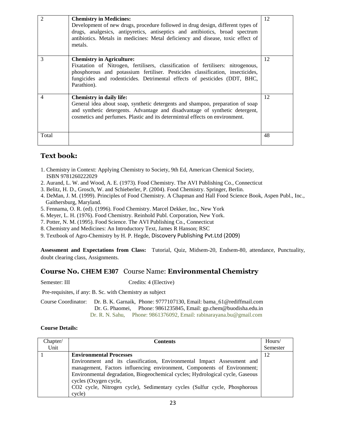| $\mathcal{D}_{1}^{(1)}$ | <b>Chemistry in Medicines:</b><br>Development of new drugs, procedure followed in drug design, different types of<br>drugs, analgesics, antipyretics, antiseptics and antibiotics, broad spectrum<br>antibiotics. Metals in medicines: Metal deficiency and disease, toxic effect of<br>metals.    | 12 |
|-------------------------|----------------------------------------------------------------------------------------------------------------------------------------------------------------------------------------------------------------------------------------------------------------------------------------------------|----|
| $\mathcal{F}$           | <b>Chemistry in Agriculture:</b><br>Fixatation of Nitrogen, fertilisers, classification of fertilisers: nitrogenous,<br>phosphorous and potassium fertiliser. Pesticides classification, insecticides,<br>fungicides and rodenticides. Detrimental effects of pesticides (DDT, BHC,<br>Parathion). | 12 |
| $\overline{4}$          | <b>Chemistry in daily life:</b><br>General idea about soap, synthetic detergents and shampoo, preparation of soap<br>and synthetic detergents. Advantage and disadvantage of synthetic detergent,<br>cosmetics and perfumes. Plastic and its determintral effects on environment.                  | 12 |
| Total                   |                                                                                                                                                                                                                                                                                                    | 48 |

### **Text book:**

- 1. Chemistry in Context: Applying Chemistry to Society, 9th Ed, American Chemical Society, ISBN 9781260222029
- 2. Aurand, L. W. and Wood, A. E. (1973). Food Chemistry. The AVI Publishing Co., Connecticut
- 3. Belitz, H. D., Grosch, W. and Schieberler, P. (2004). Food Chemistry. Springer, Berlin.
- 4. DeMan, J. M. (1999). Principles of Food Chemistry. A Chapman and Hall Food Science Book, Aspen Publ., Inc., Gaithersburg, Maryland.
- 5. Fennama, O. R. (ed). (1996). Food Chemistry. Marcel Dekker, Inc., New York
- 6. Meyer, L. H. (1976). Food Chemistry. Reinhold Publ. Corporation, New York.
- 7. Potter, N. M. (1995). Food Science. The AVI Publishing Co., Connecticut
- 8. Chemistry and Medicines: An Introductory Text, James R Hanson; RSC
- 9. Textbook of Agro-Chemistry by H. P. Hegde, Discovery Publishing Pvt.Ltd (2009)

**Assessment and Expectations from Class:** Tutorial, Quiz, Midsem-20, Endsem-80, attendance, Punctuality, doubt clearing class, Assignments.

### **Course No. CHEM E307** Course Name: **Environmental Chemistry**

Semester: III Credits: 4 (Elective)

Pre-requisites, if any: B. Sc. with Chemistry as subject

Course Coordinator: Dr. B. K. Garnaik, Phone: 9777107130, Email: [bama\\_61@rediffmail.com](mailto:garnaikbamakanta@gmail.com)  Dr. G. Phaomei, Phone: 9861235845, Email: gp.chem@buodisha.edu.in Dr. R. N. Sahu, Phone: 9861376092, Email: rabinarayana.bu@gmail.com

| Chapter/ | <b>Contents</b>                                                               |          |
|----------|-------------------------------------------------------------------------------|----------|
| Unit     |                                                                               | Semester |
|          | <b>Environmental Processes</b>                                                | 12       |
|          | Environment and its classification, Environmental Impact Assessment and       |          |
|          | management, Factors influencing environment, Components of Environment;       |          |
|          | Environmental degradation, Biogeochemical cycles; Hydrological cycle, Gaseous |          |
|          | cycles (Oxygen cycle,                                                         |          |
|          | CO2 cycle, Nitrogen cycle), Sedimentary cycles (Sulfur cycle, Phosphorous     |          |
|          | cycle)                                                                        |          |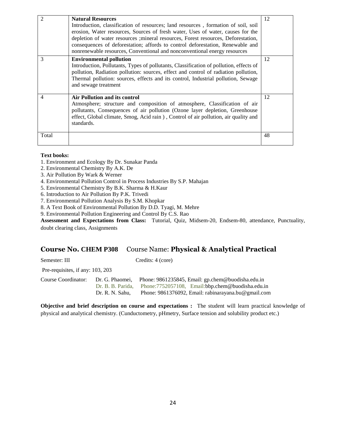| $\overline{2}$ | <b>Natural Resources</b><br>Introduction, classification of resources; land resources, formation of soil, soil<br>erosion, Water resources, Sources of fresh water, Uses of water, causes for the<br>depletion of water resources ; mineral resources, Forest resources, Deforestation,<br>consequences of deforestation; affords to control deforestation, Renewable and                                 | 12 |
|----------------|-----------------------------------------------------------------------------------------------------------------------------------------------------------------------------------------------------------------------------------------------------------------------------------------------------------------------------------------------------------------------------------------------------------|----|
| 3              | nonrenewable resources, Conventional and nonconventional energy resources<br><b>Environmental pollution</b><br>Introduction, Pollutants, Types of pollutants, Classification of pollution, effects of<br>pollution, Radiation pollution: sources, effect and control of radiation pollution,<br>Thermal pollution: sources, effects and its control, Industrial pollution, Sewage<br>and sewage treatment | 12 |
| 4              | <b>Air Pollution and its control</b><br>Atmosphere; structure and composition of atmosphere, Classification of air<br>pollutants, Consequences of air pollution (Ozone layer depletion, Greenhouse<br>effect, Global climate, Smog, Acid rain), Control of air pollution, air quality and<br>standards.                                                                                                   | 12 |
| Total          |                                                                                                                                                                                                                                                                                                                                                                                                           | 48 |

- 1. Environment and Ecology By Dr. Sunakar Panda
- 2. Environmental Chemistry By A.K. De
- 3. Air Pollution By Wark & Werner
- 4. Environmental Pollution Control in Process Industries By S.P. Mahajan
- 5. Environmental Chemistry By B.K. Sharma & H.Kaur
- 6. Introduction to Air Pollution By P.K. Trivedi
- 7. Environmental Pollution Analysis By S.M. Khopkar
- 8. A Text Book of Environmental Pollution By D.D. Tyagi, M. Mehre
- 9. Environmental Pollution Engineering and Control By C.S. Rao

**Assessment and Expectations from Class:** Tutorial, Quiz, Midsem-20, Endsem-80, attendance, Punctuality, doubt clearing class, Assignments

### **Course No. CHEM P308** Course Name: **Physical & Analytical Practical**

Semester: III Credits: 4 (core)

Pre-requisites, if any: 103, 203

Course Coordinator: Dr. G. Phaomei, Phone: 9861235845, Email: gp.chem@buodisha.edu.in Dr. B. B. Parida, Phone:7752057108, Email:bbp.chem@buodisha.edu.in Dr. R. N. Sahu, Phone: 9861376092, Email: rabinarayana.bu@gmail.com

**Objective and brief description on course and expectations :** The student will learn practical knowledge of physical and analytical chemistry. (Cunductometry, pHmetry, Surface tension and solubility product etc.)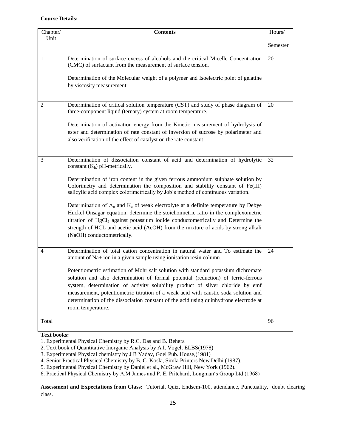### **Course Details:**

| Chapter/ | <b>Contents</b>                                                                                                                                                                                                                                                                                                                                                                                                                                                                                                                                                                                                                                                                                                                                                                                             | Hours/   |
|----------|-------------------------------------------------------------------------------------------------------------------------------------------------------------------------------------------------------------------------------------------------------------------------------------------------------------------------------------------------------------------------------------------------------------------------------------------------------------------------------------------------------------------------------------------------------------------------------------------------------------------------------------------------------------------------------------------------------------------------------------------------------------------------------------------------------------|----------|
| Unit     |                                                                                                                                                                                                                                                                                                                                                                                                                                                                                                                                                                                                                                                                                                                                                                                                             | Semester |
| 1        | Determination of surface excess of alcohols and the critical Micelle Concentration<br>(CMC) of surfactant from the measurement of surface tension.<br>Determination of the Molecular weight of a polymer and Isoelectric point of gelatine<br>by viscosity measurement                                                                                                                                                                                                                                                                                                                                                                                                                                                                                                                                      | 20       |
| 2        | Determination of critical solution temperature (CST) and study of phase diagram of<br>three-component liquid (ternary) system at room temperature.<br>Determination of activation energy from the Kinetic measurement of hydrolysis of<br>ester and determination of rate constant of inversion of sucrose by polarimeter and<br>also verification of the effect of catalyst on the rate constant.                                                                                                                                                                                                                                                                                                                                                                                                          | 20       |
| 3        | Determination of dissociation constant of acid and determination of hydrolytic<br>constant $(K_h)$ pH-metrically.<br>Determination of iron content in the given ferrous ammonium sulphate solution by<br>Colorimetry and determination the composition and stability constant of Fe(III)<br>salicylic acid complex colorimetrically by Job's method of continuous variation.<br>Determination of $\Lambda$ <sub>o</sub> and $K$ <sub>a</sub> of weak electrolyte at a definite temperature by Debye<br>Huckel Onsagar equation, determine the stoichoimetric ratio in the complexometric<br>titration of HgCl <sub>2</sub> against potassium iodide conductometrically and Determine the<br>strength of HCL and acetic acid (AcOH) from the mixture of acids by strong alkali<br>(NaOH) conductometrically. | 32       |
| 4        | Determination of total cation concentration in natural water and To estimate the<br>amount of Na+ ion in a given sample using ionisation resin column.<br>Potentiometric estimation of Mohr salt solution with standard potassium dichromate<br>solution and also determination of formal potential (reduction) of ferric-ferrous<br>system, determination of activity solubility product of silver chloride by emf<br>measurement, potentiometric titration of a weak acid with caustic soda solution and<br>determination of the dissociation constant of the acid using quinhydrone electrode at<br>room temperature.                                                                                                                                                                                    | 24       |
| Total    |                                                                                                                                                                                                                                                                                                                                                                                                                                                                                                                                                                                                                                                                                                                                                                                                             | 96       |

### **Text books:**

**Assessment and Expectations from Class:** Tutorial, Quiz, Endsem-100, attendance, Punctuality, doubt clearing class.

<sup>1.</sup> Experimental Physical Chemistry by R.C. Das and B. Behera

<sup>2.</sup> Text book of Quantitative Inorganic Analysis by A.I. Vogel, ELBS(1978)

<sup>3.</sup> Experimental Physical chemistry by J B Yadav, Goel Pub. House,(1981)

<sup>4.</sup> Senior Practical Physical Chemistry by B. C. Kosla, Simla Printers New Delhi (1987).

<sup>5.</sup> Experimental Physical Chemistry by Daniel et al., McGraw Hill, New York (1962).

<sup>6.</sup> Practical Physical Chemistry by A.M James and P. E. Pritchard, Longman's Group Ltd (1968)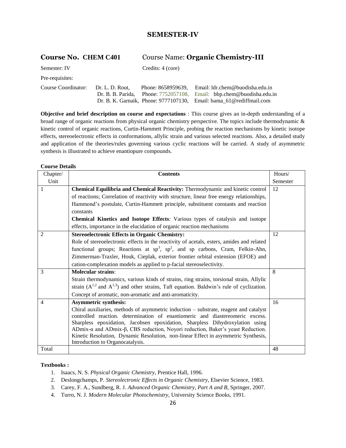### **SEMESTER-IV**

### **Course No. CHEM C401** Course Name: **Organic Chemistry-III**

| Semester: IV        |                 | Credits: 4 (core)                    |                                                                     |
|---------------------|-----------------|--------------------------------------|---------------------------------------------------------------------|
| Pre-requisites:     |                 |                                      |                                                                     |
| Course Coordinator: | Dr. L. D. Rout. | Phone: 8658959639.                   | Email: ldr.chem@buodisha.edu.in                                     |
|                     |                 | Dr. B. B. Parida, Phone: 7752057108, | Email: bbp.chem@buodisha.edu.in                                     |
|                     |                 |                                      | Dr. B. K. Garnaik, Phone: 9777107130, Email: bama 61@rediffmail.com |

**Objective and brief description on course and expectations** : This course gives an in-depth understanding of a broad range of organic reactions from physical organic chemistry perspective. The topics include thermodynamic & kinetic control of organic reactions, Curtin-Hammett Principle, probing the reaction mechanisms by kinetic isotope effects, stereoelectronic effects in conformations, allylic strain and various selected reactions. Also, a detailed study and application of the theories/rules governing various cyclic reactions will be carried. A study of asymmetric synthesis is illustrated to achieve enantiopure compounds.

### **Course Details**

| Chapter/       | <b>Contents</b>                                                                                                                                                                      | Hours/   |
|----------------|--------------------------------------------------------------------------------------------------------------------------------------------------------------------------------------|----------|
| Unit           |                                                                                                                                                                                      | Semester |
| 1              | Chemical Equilibria and Chemical Reactivity: Thermodynamic and kinetic control                                                                                                       | 12       |
|                | of reactions; Correlation of reactivity with structure, linear free energy relationships,                                                                                            |          |
|                | Hammond's postulate, Curtin-Hammett principle, substituent constants and reaction                                                                                                    |          |
|                | constants                                                                                                                                                                            |          |
|                | Chemical Kinetics and Isotope Effects: Various types of catalysis and isotope                                                                                                        |          |
|                | effects, importance in the elucidation of organic reaction mechanisms                                                                                                                |          |
| $\overline{2}$ | <b>Stereoelectronic Effects in Organic Chemistry:</b>                                                                                                                                | 12       |
|                | Role of stereoelectronic effects in the reactivity of acetals, esters, amides and related                                                                                            |          |
|                | functional groups; Reactions at $sp^3$ , $sp^2$ , and sp carbons, Cram, Felkin-Ahn,                                                                                                  |          |
|                | Zimmerman-Traxler, Houk, Cieplak, exterior frontier orbital extension (EFOE) and                                                                                                     |          |
|                | cation-complexation models as applied to p-facial stereoselectivity.                                                                                                                 |          |
| 3              | <b>Molecular strains:</b>                                                                                                                                                            | 8        |
|                | Strain thermodynamics, various kinds of strains, ring strains, torsional strain, Allylic                                                                                             |          |
|                | strain $(A^{1,2}$ and $A^{1,3})$ and other strains, Taft equation. Baldwin's rule of cyclization.                                                                                    |          |
|                | Concept of aromatic, non-aromatic and anti-aromaticity.                                                                                                                              |          |
| 4              | <b>Asymmetric synthesis:</b>                                                                                                                                                         | 16       |
|                | Chiral auxiliaries, methods of asymmetric induction - substrate, reagent and catalyst                                                                                                |          |
|                | controlled reaction. determination of enantiomeric and diastereomeric excess.                                                                                                        |          |
|                | Sharpless epoxidation, Jacobsen epoxidation, Sharpless Dihydroxylation using                                                                                                         |          |
|                | ADmix- $\alpha$ and ADmix- $\beta$ , CBS reduction, Noyori reduction, Baker's yeast Reduction.<br>Kinetic Resolution, Dynamic Resolution, non-linear Effect in asymmetric Synthesis, |          |
|                | Introduction to Organocatalysis.                                                                                                                                                     |          |
| Total          |                                                                                                                                                                                      | 48       |

### **Textbooks :**

- 1. Isaacs, N. S. *Physical Organic Chemistry*, Prentice Hall, 1996.
- 2. Deslongchamps, P. *Stereolectronic Effects in Organic Chemistry*, Elsevier Science, 1983.
- 3. Carey, F. A., Sundberg, R. J. *Advanced Organic Chemistry*, *Part A and B*, Springer, 2007.
- 4. Turro, N. J. *Modern Molecular Photochemistry*, University Science Books, 1991.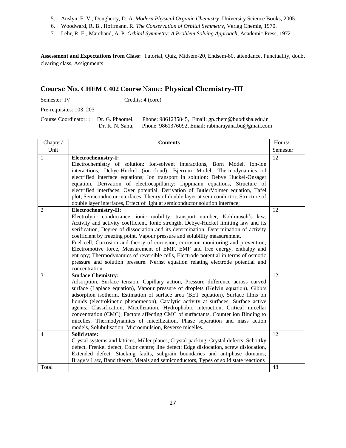- 5. Anslyn, E. V., Dougherty, D. A. *Modern Physical Organic Chemistry*, University Science Books, 2005.
- 6. Woodward, R. B., Hoffmann, R. *The Conservation of Orbital Symmetry*, Verlag Chemie, 1970.
- 7. Lehr, R. E., Marchand, A. P. *Orbital Symmetry: A Problem Solving Approach*, Academic Press, 1972.

**Assessment and Expectations from Class:** Tutorial, Quiz, Midsem-20, Endsem-80, attendance, Punctuality, doubt clearing class, Assignments

### **Course No. CHEM C402 Course** Name: **Physical Chemistry-III**

Semester: IV Credits: 4 (core)

Pre-requisites: 103, 203

Course Coordinator: : Dr. G. Phaomei, Phone: 9861235845, Email: gp.chem@buodisha.edu.in Dr. R. N. Sahu, Phone: 9861376092, Email: rabinarayana.bu@gmail.com

| Chapter/                | <b>Contents</b>                                                                                                                                                                                                                                                                                                                                                                                                                                                                                                                                                                                                                                                                                                                        | Hours/   |
|-------------------------|----------------------------------------------------------------------------------------------------------------------------------------------------------------------------------------------------------------------------------------------------------------------------------------------------------------------------------------------------------------------------------------------------------------------------------------------------------------------------------------------------------------------------------------------------------------------------------------------------------------------------------------------------------------------------------------------------------------------------------------|----------|
| Unit                    |                                                                                                                                                                                                                                                                                                                                                                                                                                                                                                                                                                                                                                                                                                                                        | Semester |
| 1                       | Electrochemistry-I:<br>Electrochemistry of solution: Ion-solvent interactions, Born Model, Ion-ion<br>interactions, Debye-Huckel (ion-cloud), Bjerrum Model, Thermodynamics of<br>electrified interface equations; Ion transport in solution: Debye Huckel-Onsager<br>equation, Derivation of electrocapillarity: Lippmann equations, Structure of<br>electrified interfaces, Over potential, Derivation of ButlerVolmer equation, Tafel<br>plot; Semiconductor interfaces: Theory of double layer at semiconductor, Structure of<br>double layer interfaces, Effect of light at semiconductor solution interface;                                                                                                                     | 12       |
| $\overline{2}$          | Electrochemistry-II:<br>Electrolytic conductance, ionic mobility, transport number, Kohlrausch's law;<br>Activity and activity coefficient, Ionic strength, Debye-Huckel limiting law and its<br>verification, Degree of dissociation and its determination, Determination of activity<br>coefficient by freezing point, Vapour pressure and solubility measurement.<br>Fuel cell, Corrosion and theory of corrosion, corrosion monitoring and prevention;<br>Electromotive force, Measurement of EMF, EMF and free energy, enthalpy and<br>entropy; Thermodynamics of reversible cells, Electrode potential in terms of osmotic<br>pressure and solution pressure. Nernst equation relating electrode potential and<br>concentration. | 12       |
| 3                       | <b>Surface Chemistry:</b><br>Adsorption, Surface tension, Capillary action, Pressure difference across curved<br>surface (Laplace equation), Vapour pressure of droplets (Kelvin equation), Gibb's<br>adsorption isotherm, Estimation of surface area (BET equation), Surface films on<br>liquids (electrokinetic phenomenon), Catalytic activity at surfaces; Surface active<br>agents, Classification, Micellization, Hydrophobic interaction, Critical micellar<br>concentration (CMC), Factors affecting CMC of surfactants, Counter ion Binding to<br>micelles. Thermodynamics of micellization, Phase separation and mass action<br>models, Solubulisation, Microemulsion, Reverse micelles.                                     | 12       |
| $\overline{4}$<br>Total | Solid state:<br>Crystal systems and lattices, Miller planes, Crystal packing, Crystal defects: Schottky<br>defect, Frenkel defect, Color centre; line defect: Edge dislocation, screw dislocation,<br>Extended defect: Stacking faults, subgrain boundaries and antiphase domains;<br>Bragg's Law, Band theory, Metals and semiconductors, Types of solid state reactions                                                                                                                                                                                                                                                                                                                                                              | 12<br>48 |
|                         |                                                                                                                                                                                                                                                                                                                                                                                                                                                                                                                                                                                                                                                                                                                                        |          |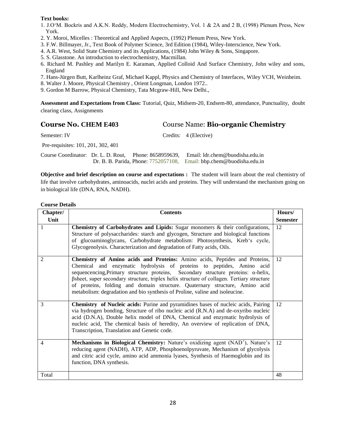- 1. J.O'M. Bockris and A.K.N. Reddy, Modern Electrochemistry, Vol. 1 & 2A and 2 B, (1998) Plenum Press, New York.
- 2. Y. Moroi, Micelles : Theoretical and Applied Aspects, (1992) Plenum Press, New York.
- 3. F.W. Billmayer, Jr., Text Book of Polymer Science, 3rd Edition (1984), Wiley-Interscience, New York.
- 4. A.R. West, Solid State Chemistry and its Applications, (1984) John Wiley & Sons, Singapore.
- 5. S. Glasstone. An introduction to electrochemistry, Macmillan.
- 6. Richard M. Pashley and Marilyn E. Karaman, Applied Colloid And Surface Chemistry, John wiley and sons, England
- 7. Hans-Jürgen Butt, Karlheinz Graf, Michael Kappl, Physics and Chemistry of Interfaces, Wiley VCH, Weinheim.
- 8. Walter J. Moore, Physical Chemistry , Orient Longman, London 1972..
- 9. Gordon M Barrow, Physical Chemistry, Tata Mcgraw-Hill, New Delhi.,

**Assessment and Expectations from Class:** Tutorial, Quiz, Midsem-20, Endsem-80, attendance, Punctuality, doubt clearing class, Assignments

### **Course No. CHEM E403** Course Name: **Bio-organic Chemistry**

| Semester: IV                       |  | Credits: 4 (Elective)                                                                                                                                          |
|------------------------------------|--|----------------------------------------------------------------------------------------------------------------------------------------------------------------|
| Pre-requisites: 101, 201, 302, 401 |  |                                                                                                                                                                |
|                                    |  | Course Coordinator: Dr. L. D. Rout, Phone: 8658959639, Email: ldr.chem@buodisha.edu.in<br>Dr. B. B. Parida, Phone: 7752057108, Email: bbp.chem@buodisha.edu.in |

**Objective and brief description on course and expectations :** The student will learn about the real chemistry of life that involve carbohydrates, aminoacids, nuclei acids and proteins. They will understand the mechanism going on in biological life (DNA, RNA, NADH).

| Chapter/       | <b>Contents</b>                                                                                                                                                                                                                                                                                                                                                                                                                                                                                               | Hours/          |
|----------------|---------------------------------------------------------------------------------------------------------------------------------------------------------------------------------------------------------------------------------------------------------------------------------------------------------------------------------------------------------------------------------------------------------------------------------------------------------------------------------------------------------------|-----------------|
| Unit           |                                                                                                                                                                                                                                                                                                                                                                                                                                                                                                               | <b>Semester</b> |
| 1              | Chemistry of Carbohydrates and Lipids: Sugar monomers & their configurations,<br>Structure of polysaccharides: starch and glycogen, Structure and biological functions<br>of glucoaminoglycans, Carbohydrate metabolism: Photosynthesis, Kreb's cycle,<br>Glycogenolysis. Characterization and degradation of Fatty acids, Oils.                                                                                                                                                                              | 12              |
| $\overline{2}$ | Chemistry of Amino acids and Proteins: Amino acids, Peptides and Proteins,<br>Chemical and enzymatic hydrolysis of proteins to peptides, Amino acid<br>sequencencing, Primary structure proteins, Secondary structure proteins: $\alpha$ -helix,<br>Bsheet, super secondary structure, triplex helix structure of collagen. Tertiary structure<br>of proteins, folding and domain structure. Quaternary structure, Amino acid<br>metabolism: degradation and bio synthesis of Proline, valine and isoleucine. | 12              |
| 3              | Chemistry of Nucleic acids: Purine and pyramidines bases of nucleic acids, Pairing<br>via hydrogen bonding, Structure of ribo nucleic acid (R.N.A) and de-oxyribo nucleic<br>acid (D.N.A), Double helix model of DNA, Chemical and enzymatic hydrolysis of<br>nucleic acid, The chemical basis of heredity, An overview of replication of DNA,<br>Transcription, Translation and Genetic code.                                                                                                                | 12              |
| 4              | <b>Mechanisms in Biological Chemistry:</b> Nature's oxidizing agent (NAD <sup>+</sup> ), Nature's<br>reducing agent (NADH), ATP, ADP, Phosphoenolpyruvate, Mechanism of glycolysis<br>and citric acid cycle, amino acid ammonia lyases, Synthesis of Haemoglobin and its<br>function, DNA synthesis.                                                                                                                                                                                                          | 12              |
| Total          |                                                                                                                                                                                                                                                                                                                                                                                                                                                                                                               | 48              |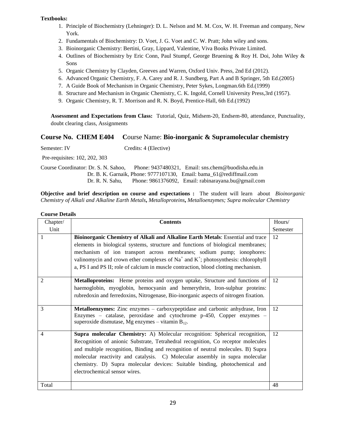- 1. Principle of Biochemistry (Lehninger): D. L. Nelson and M. M. Cox, W. H. Freeman and company, New York.
- 2. Fundamentals of Biochemistry: D. Voet, J. G. Voet and C. W. Pratt; John wiley and sons.
- 3. Bioinorganic Chemistry: Bertini, Gray, Lippard, Valentine, Viva Books Private Limited.
- 4. Outlines of Biochemistry by Eric Conn, Paul Stumpf, George Bruening & Roy H. Doi, John Wiley & Sons
- 5. Organic Chemistry by Clayden, Greeves and Warren, Oxford Univ. Press, 2nd Ed (2012).
- 6. Advanced Organic Chemistry, F. A. Carey and R. J. Sundberg, Part A and B Springer, 5th Ed.(2005)
- 7. A Guide Book of Mechanism in Organic Chemistry, Peter Sykes, Longman.6th Ed.(1999)
- 8. Structure and Mechanism in Organic Chemistry, C. K. Ingold, Cornell University Press,3rd (1957).
- 9. Organic Chemistry, R. T. Morrison and R. N. Boyd, Prentice-Hall, 6th Ed.(1992)

**Assessment and Expectations from Class:** Tutorial, Quiz, Midsem-20, Endsem-80, attendance, Punctuality, doubt clearing class, Assignments

### **Course No. CHEM E404 C**ourse Name: **Bio-inorganic & Supramolecular chemistry**

| Semester: IV                         | Credits: 4 (Elective) |                                                                     |
|--------------------------------------|-----------------------|---------------------------------------------------------------------|
| Pre-requisites: 102, 202, 303        |                       |                                                                     |
| Course Coordinator: Dr. S. N. Sahoo. |                       | Phone: $9437480321$ . Email: sns.chem@buodisha.edu.in               |
|                                      |                       | Dr. B. K. Garnaik, Phone: 9777107130, Email: bama 61@rediffmail.com |
|                                      |                       | Dr. R. N. Sahu, Phone: 9861376092, Email: rabinarayana.bu@gmail.com |

**Objective and brief description on course and expectations :** The student will learn about *Bioinorganic Chemistry of Alkali and Alkaline Earth Metals***,** *Metalloproteins***,** *Metalloenzymes; Supra molecular Chemistry* 

| Chapter/       | <b>Contents</b>                                                                                                                                                                                                       | Hours/   |
|----------------|-----------------------------------------------------------------------------------------------------------------------------------------------------------------------------------------------------------------------|----------|
| Unit           |                                                                                                                                                                                                                       | Semester |
| 1              | Bioinorganic Chemistry of Alkali and Alkaline Earth Metals: Essential and trace                                                                                                                                       | 12       |
|                | elements in biological systems, structure and functions of biological membranes;                                                                                                                                      |          |
|                | mechanism of ion transport across membranes; sodium pump; ionophores:                                                                                                                                                 |          |
|                | valinomycin and crown ether complexes of $Na+$ and $K+$ ; photosynthesis: chlorophyll                                                                                                                                 |          |
|                | a, PS I and PS II; role of calcium in muscle contraction, blood clotting mechanism.                                                                                                                                   |          |
| $\overline{2}$ | Metalloproteins: Heme proteins and oxygen uptake, Structure and functions of                                                                                                                                          | 12       |
|                | haemoglobin, myoglobin, hemocyanin and hemerythrin, Iron-sulphur proteins:                                                                                                                                            |          |
|                | rubredoxin and ferredoxins, Nitrogenase, Bio-inorganic aspects of nitrogen fixation.                                                                                                                                  |          |
| 3              | <b>Metalloenzymes:</b> Zinc enzymes – carboxypeptidase and carbonic anhydrase, Iron<br>Enzymes – catalase, peroxidase and cytochrome p-450, Copper enzymes –<br>superoxide dismutase, Mg enzymes – vitamin $B_{12}$ . | 12       |
|                |                                                                                                                                                                                                                       |          |
| 4              | <b>Supra molecular Chemistry:</b> A) Molecular recognition: Spherical recognition,                                                                                                                                    | 12       |
|                | Recognition of anionic Substrate, Tetrahedral recognition, Co receptor molecules                                                                                                                                      |          |
|                | and multiple recognition, Binding and recognition of neutral molecules. B) Supra                                                                                                                                      |          |
|                | molecular reactivity and catalysis. C) Molecular assembly in supra molecular                                                                                                                                          |          |
|                | chemistry. D) Supra molecular devices: Suitable binding, photochemical and                                                                                                                                            |          |
|                | electrochemical sensor wires.                                                                                                                                                                                         |          |
|                |                                                                                                                                                                                                                       |          |
| Total          |                                                                                                                                                                                                                       | 48       |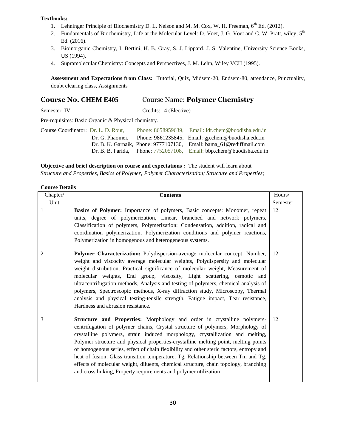- 1. Lehninger Principle of Biochemistry D. L. Nelson and M. M. Cox, W. H. Freeman,  $6^{th}$  Ed. (2012).
- 2. Fundamentals of Biochemistry, Life at the Molecular Level: D. Voet, J. G. Voet and C. W. Pratt, wiley,  $5<sup>th</sup>$ Ed. (2016).
- 3. Bioinorganic Chemistry, I. Bertini, H. B. Gray, S. J. Lippard, J. S. Valentine, University Science Books, US (1994).
- 4. Supramolecular Chemistry: Concepts and Perspectives, J. M. Lehn, Wiley VCH (1995).

**Assessment and Expectations from Class:** Tutorial, Quiz, Midsem-20, Endsem-80, attendance, Punctuality, doubt clearing class, Assignments

### **Course No. CHEM E405** Course Name: **Polymer Chemistry**

Semester: IV Credits: 4 (Elective)

Pre-requisites: Basic Organic & Physical chemistry.

Course Coordinator: Dr. L. D. Rout, Phone: 8658959639, Email: ldr.chem@buodisha.edu.in Dr. G. Phaomei, Phone: 9861235845, Email: gp.chem@buodisha.edu.in Dr. B. K. Garnaik, Phone: 9777107130, Email: [bama\\_61@rediffmail.com](mailto:garnaikbamakanta@gmail.com) Dr. B. B. Parida, Phone: 7752057108, Email: bbp.chem@buodisha.edu.in

### **Objective and brief description on course and expectations :** The student will learn about

*Structure and Properties, Basics of Polymer; Polymer Characterization; Structure and Properties;* 

| Chapter/       | <b>Contents</b>                                                                                                                                                                                                                                                                                                                                                                                                                                                                                                                                                                                                                                                               | Hours/   |
|----------------|-------------------------------------------------------------------------------------------------------------------------------------------------------------------------------------------------------------------------------------------------------------------------------------------------------------------------------------------------------------------------------------------------------------------------------------------------------------------------------------------------------------------------------------------------------------------------------------------------------------------------------------------------------------------------------|----------|
| Unit           |                                                                                                                                                                                                                                                                                                                                                                                                                                                                                                                                                                                                                                                                               | Semester |
| $\mathbf{1}$   | Basics of Polymer: Importance of polymers, Basic concepts: Monomer, repeat<br>units, degree of polymerization, Linear, branched and network polymers,<br>Classification of polymers, Polymerization: Condensation, addition, radical and<br>coordination polymerization, Polymerization conditions and polymer reactions,<br>Polymerization in homogenous and heterogeneous systems.                                                                                                                                                                                                                                                                                          | 12       |
| $\overline{2}$ | Polymer Characterization: Polydispersion-average molecular concept, Number,<br>weight and viscocity average molecular weights, Polydispersity and molecular<br>weight distribution, Practical significance of molecular weight, Measurement of<br>molecular weights, End group, viscosity, Light scattering, osmotic and<br>ultracentrifugation methods, Analysis and testing of polymers, chemical analysis of<br>polymers, Spectroscopic methods, X-ray diffraction study, Microscopy, Thermal<br>analysis and physical testing-tensile strength, Fatigue impact, Tear resistance,<br>Hardness and abrasion resistance.                                                     | 12       |
| 3              | Structure and Properties: Morphology and order in crystalline polymers-<br>centrifugation of polymer chains, Crystal structure of polymers, Morphology of<br>crystalline polymers, strain induced morphology, crystallization and melting,<br>Polymer structure and physical properties-crystalline melting point, melting points<br>of homogenous series, effect of chain flexibility and other steric factors, entropy and<br>heat of fusion, Glass transition temperature, Tg, Relationship between Tm and Tg,<br>effects of molecular weight, diluents, chemical structure, chain topology, branching<br>and cross linking, Property requirements and polymer utilization | 12       |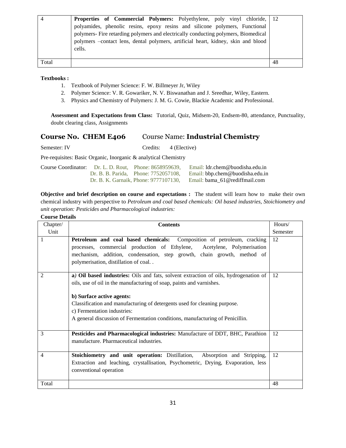|       | <b>Properties of Commercial Polymers:</b> Polyethylene, poly vinyl chloride, 12    |  |
|-------|------------------------------------------------------------------------------------|--|
|       | polyamides, phenolic resins, epoxy resins and silicone polymers, Functional        |  |
|       | polymers- Fire retarding polymers and electrically conducting polymers, Biomedical |  |
|       | polymers -contact lens, dental polymers, artificial heart, kidney, skin and blood  |  |
|       | cells.                                                                             |  |
|       |                                                                                    |  |
| Total |                                                                                    |  |

- 1. Textbook of Polymer Science: F. W. Billmeyer Jr, Wiley
- 2. Polymer Science: V. R. Gowariker, N. V. Biswanathan and J. Sreedhar, Wiley, Eastern.
- 3. Physics and Chemistry of Polymers: J. M. G. Cowie, Blackie Academic and Professional.

**Assessment and Expectations from Class:** Tutorial, Quiz, Midsem-20, Endsem-80, attendance, Punctuality, doubt clearing class, Assignments

### **Course No. CHEM E406** Course Name: **Industrial Chemistry**

Semester: IV Credits: 4 (Elective)

Pre-requisites: Basic Organic, Inorganic & analytical Chemistry

|  | Course Coordinator: Dr. L. D. Rout. Phone: 8658959639. | Email: ldr.chem@buodisha.edu.in |
|--|--------------------------------------------------------|---------------------------------|
|  | Dr. B. B. Parida. Phone: 7752057108.                   | Email: bbp.chem@buodisha.edu.in |
|  | Dr. B. K. Garnaik, Phone: 9777107130.                  | Email: bama 61@rediffmail.com   |

**Objective and brief description on course and expectations :** The student will learn how to make their own chemical industry with perspective to *Petroleum and coal based chemicals: Oil based industries, Stoichiometry and unit operation: Pesticides and Pharmacological industries:*

| Chapter/ | <b>Contents</b>                                                                      | Hours/   |
|----------|--------------------------------------------------------------------------------------|----------|
| Unit     |                                                                                      | Semester |
| 1        | Petroleum and coal based chemicals: Composition of petroleum, cracking               | 12       |
|          | processes, commercial production of Ethylene, Acetylene, Polymerisation              |          |
|          | mechanism, addition, condensation, step growth, chain growth, method of              |          |
|          | polymerisation, distillation of coal                                                 |          |
|          |                                                                                      |          |
| 2        | a) Oil based industries: Oils and fats, solvent extraction of oils, hydrogenation of | 12       |
|          | oils, use of oil in the manufacturing of soap, paints and varnishes.                 |          |
|          |                                                                                      |          |
|          | b) Surface active agents:                                                            |          |
|          | Classification and manufacturing of detergents used for cleaning purpose.            |          |
|          | c) Fermentation industries:                                                          |          |
|          | A general discussion of Fermentation conditions, manufacturing of Penicillin.        |          |
|          |                                                                                      |          |
| 3        | Pesticides and Pharmacological industries: Manufacture of DDT, BHC, Parathion        | 12       |
|          | manufacture. Pharmaceutical industries.                                              |          |
|          |                                                                                      |          |
| 4        | Stoichiometry and unit operation: Distillation, Absorption and Stripping,            | 12       |
|          | Extraction and leaching, crystallisation, Psychometric, Drying, Evaporation, less    |          |
|          | conventional operation                                                               |          |
|          |                                                                                      |          |
| Total    |                                                                                      | 48       |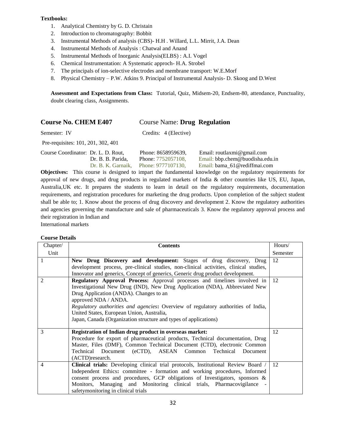- 1. Analytical Chemistry by G. D. Christain
- 2. Introduction to chromatography: Bobbit
- 3. Instrumental Methods of analysis (CBS)- H.H . Willard, L.L. Mirrit, J.A. Dean
- 4. Instrumental Methods of Analysis : Chatwal and Anand
- 5. Instrumental Methods of Inorganic Analysis(ELBS) : A.I. Vogel
- 6. Chemical Instrumentation: A Systematic approch- H.A. Strobel
- 7. The principals of ion-selective electrodes and membrane transport: W.E.Morf
- 8. Physical Chemistry P.W. Atkins 9. Principal of Instrumental Analysis- D. Skoog and D.West

**Assessment and Expectations from Class:** Tutorial, Quiz, Midsem-20, Endsem-80, attendance, Punctuality, doubt clearing class, Assignments.

### **Course No. CHEM E407** Course Name: **Drug Regulation**

Semester: IV Credits: 4 (Elective)

Pre-requisites: 101, 201, 302, 401

| Course Coordinator: Dr. L. D. Rout. |                   | Phone: 8658959639,                    | Email: routlaxmi@gmail.com      |
|-------------------------------------|-------------------|---------------------------------------|---------------------------------|
|                                     | Dr. B. B. Parida. | Phone: 7752057108.                    | Email: bbp.chem@buodisha.edu.in |
|                                     |                   | Dr. B. K. Garnaik. Phone: 9777107130. | Email: bama 61@rediffmai.com    |

**Objectives:** This course is designed to impart the fundamental knowledge on the regulatory requirements for approval of new drugs, and drug products in regulated markets of India & other countries like US, EU, Japan, Australia,UK etc. It prepares the students to learn in detail on the regulatory requirements, documentation requirements, and registration procedures for marketing the drug products. Upon completion of the subject student shall be able to; 1. Know about the process of drug discovery and development 2. Know the regulatory authorities and agencies governing the manufacture and sale of pharmaceuticals 3. Know the regulatory approval process and their registration in Indian and

International markets

| Chapter/ | <b>Contents</b>                                                                       | Hours/   |
|----------|---------------------------------------------------------------------------------------|----------|
| Unit     |                                                                                       | Semester |
|          | New Drug Discovery and development: Stages of drug discovery, Drug                    | 12       |
|          | development process, pre-clinical studies, non-clinical activities, clinical studies, |          |
|          | Innovator and generics, Concept of generics, Generic drug product development.        |          |
| 2        | Regulatory Approval Process: Approval processes and timelines involved in             | 12       |
|          | Investigational New Drug (IND), New Drug Application (NDA), Abbreviated New           |          |
|          | Drug Application (ANDA). Changes to an                                                |          |
|          | approved NDA / ANDA.                                                                  |          |
|          | Regulatory authorities and agencies: Overview of regulatory authorities of India,     |          |
|          | United States, European Union, Australia,                                             |          |
|          | Japan, Canada (Organization structure and types of applications)                      |          |
|          |                                                                                       |          |
| 3        | Registration of Indian drug product in overseas market:                               | 12       |
|          | Procedure for export of pharmaceutical products, Technical documentation, Drug        |          |
|          | Master, Files (DMF), Common Technical Document (CTD), electronic Common               |          |
|          | Technical Document (eCTD), ASEAN Common<br>Technical<br>Document                      |          |
|          | (ACTD) research.                                                                      |          |
| 4        | Clinical trials: Developing clinical trial protocols, Institutional Review Board /    | 12       |
|          | Independent Ethics: committee - formation and working procedures, Informed            |          |
|          | consent process and procedures, GCP obligations of Investigators, sponsors $\&$       |          |
|          | Monitors, Managing and Monitoring clinical trials, Pharmacovigilance<br>$\sim$        |          |
|          | safetymonitoring in clinical trials                                                   |          |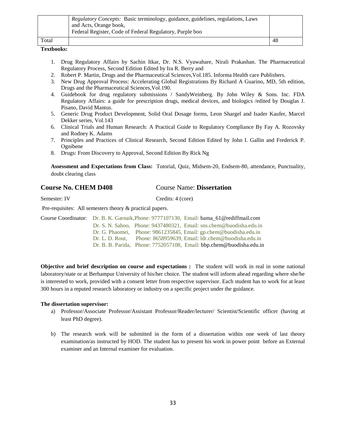|       | Regulatory Concepts: Basic terminology, guidance, guidelines, regulations, Laws<br>and Acts, Orange book,<br>Federal Register, Code of Federal Regulatory, Purple boo |     |
|-------|-----------------------------------------------------------------------------------------------------------------------------------------------------------------------|-----|
| Total |                                                                                                                                                                       | -48 |

- 1. Drug Regulatory Affairs by Sachin Itkar, Dr. N.S. Vyawahare, Nirali Prakashan. The Pharmaceutical Regulatory Process, Second Edition Edited by Ira R. Berry and
- 2. Robert P. Martin, Drugs and the Pharmaceutical Sciences,Vol.185. Informa Health care Publishers.
- 3. New Drug Approval Process: Accelerating Global Registrations By Richard A Guarino, MD, 5th edition, Drugs and the Pharmaceutical Sciences,Vol.190.
- 4. Guidebook for drug regulatory submissions / SandyWeinberg. By John Wiley & Sons. Inc. FDA Regulatory Affairs: a guide for prescription drugs, medical devices, and biologics /edited by Douglas J. Pisano, David Mantus.
- 5. Generic Drug Product Development, Solid Oral Dosage forms, Leon Shargel and Isader Kaufer, Marcel Dekker series, Vol.143
- 6. Clinical Trials and Human Research: A Practical Guide to Regulatory Compliance By Fay A. Rozovsky and Rodney K. Adams
- 7. Principles and Practices of Clinical Research, Second Edition Edited by John I. Gallin and Frederick P. Ognibene
- 8. Drugs: From Discovery to Approval, Second Edition By Rick Ng

**Assessment and Expectations from Class:** Tutorial, Quiz, Midsem-20, Endsem-80, attendance, Punctuality, doubt clearing class

### **Course No. CHEM D408** Course Name: **Dissertation**

Semester: IV Credits: 4 (core)

Pre-requisites: All semesters theory & practical papers.

|                 | Course Coordinator: Dr. B. K. Garnaik, Phone: 9777107130, Email: bama 61@rediffmail.com |
|-----------------|-----------------------------------------------------------------------------------------|
|                 | Dr. S. N. Sahoo, Phone: 9437480321, Email: sns.chem@buodisha.edu.in                     |
|                 | Dr. G. Phaomei, Phone: $9861235845$ , Email: gp.chem@buodisha.edu.in                    |
| Dr. L. D. Rout. | Phone: 8658959639. Email: 1dr.chem@buodisha.edu.in                                      |
|                 | Dr. B. B. Parida, Phone: 7752057108, Email: bbp.chem@buodisha.edu.in                    |

**Objective and brief description on course and expectations :** The student will work in real in some national laboratory/state or at Berhampur University of his/her choice. The student will inform ahead regarding where she/he is interested to work, provided with a consent letter from respective supervisor. Each student has to work for at least 300 hours in a reputed research laboratory or industry on a specific project under the guidance.

### **The dissertation supervisor:**

- a) Professor/Associate Professor/Assistant Professor/Reader/lecturer/ Scientist/Scientific officer (having at least PhD degree).
- b) The research work will be submitted in the form of a dissertation within one week of last theory examination/as instructed by HOD. The student has to present his work in power point before an External examiner and an Internal examiner for evaluation.